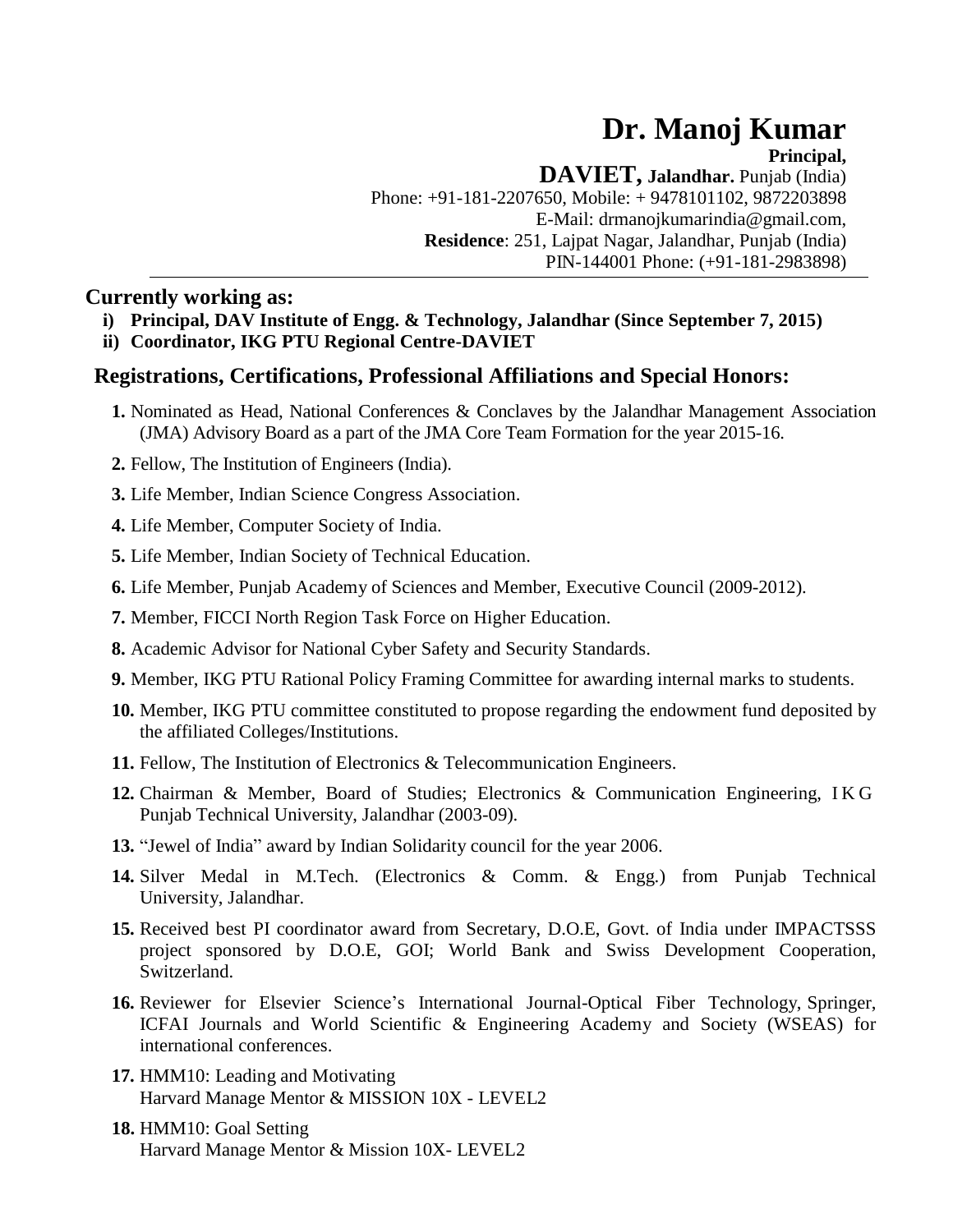# **Dr. Manoj Kumar**

**Principal,**

**DAVIET, Jalandhar.** Punjab (India) Phone: +91-181-2207650, Mobile: + 9478101102, 9872203898 E-M[ail: drmanojkumarindia@gmail.com,](mailto:drmanojkumarindia@gmail.com) **Residence**: 251, Lajpat Nagar, Jalandhar, Punjab (India) PIN-144001 Phone: (+91-181-2983898)

# **Currently working as:**

- **i) Principal, DAV Institute of Engg. & Technology, Jalandhar (Since September 7, 2015)**
- **ii) Coordinator, IKG PTU Regional Centre-DAVIET**

# **Registrations, Certifications, Professional Affiliations and Special Honors:**

- **1.** Nominated as Head, National Conferences & Conclaves by the Jalandhar Management Association (JMA) Advisory Board as a part of the JMA Core Team Formation for the year 2015-16.
- **2.** Fellow, The Institution of Engineers (India).
- **3.** Life Member, Indian Science Congress Association.
- **4.** Life Member, Computer Society of India.
- **5.** Life Member, Indian Society of Technical Education.
- **6.** Life Member, Punjab Academy of Sciences and Member, Executive Council (2009-2012).
- **7.** Member, FICCI North Region Task Force on Higher Education.
- **8.** Academic Advisor for National Cyber Safety and Security Standards.
- **9.** Member, IKG PTU Rational Policy Framing Committee for awarding internal marks to students.
- **10.** Member, IKG PTU committee constituted to propose regarding the endowment fund deposited by the affiliated Colleges/Institutions.
- **11.** Fellow, The Institution of Electronics & Telecommunication Engineers.
- **12.** Chairman & Member, Board of Studies; Electronics & Communication Engineering, I K G Punjab Technical University, Jalandhar (2003-09).
- **13.** "Jewel of India" award by Indian Solidarity council for the year 2006.
- **14.** Silver Medal in M.Tech. (Electronics & Comm. & Engg.) from Punjab Technical University, Jalandhar.
- **15.** Received best PI coordinator award from Secretary, D.O.E, Govt. of India under IMPACTSSS project sponsored by D.O.E, GOI; World Bank and Swiss Development Cooperation, Switzerland.
- **16.** Reviewer for Elsevier Science's International Journal-Optical Fiber Technology, Springer, ICFAI Journals and World Scientific & Engineering Academy and Society (WSEAS) for international conferences.
- **17.** HMM10: Leading and Motivating Harvard Manage Mentor & MISSION 10X - LEVEL2
- **18.** HMM10: Goal Setting Harvard Manage Mentor & Mission 10X- LEVEL2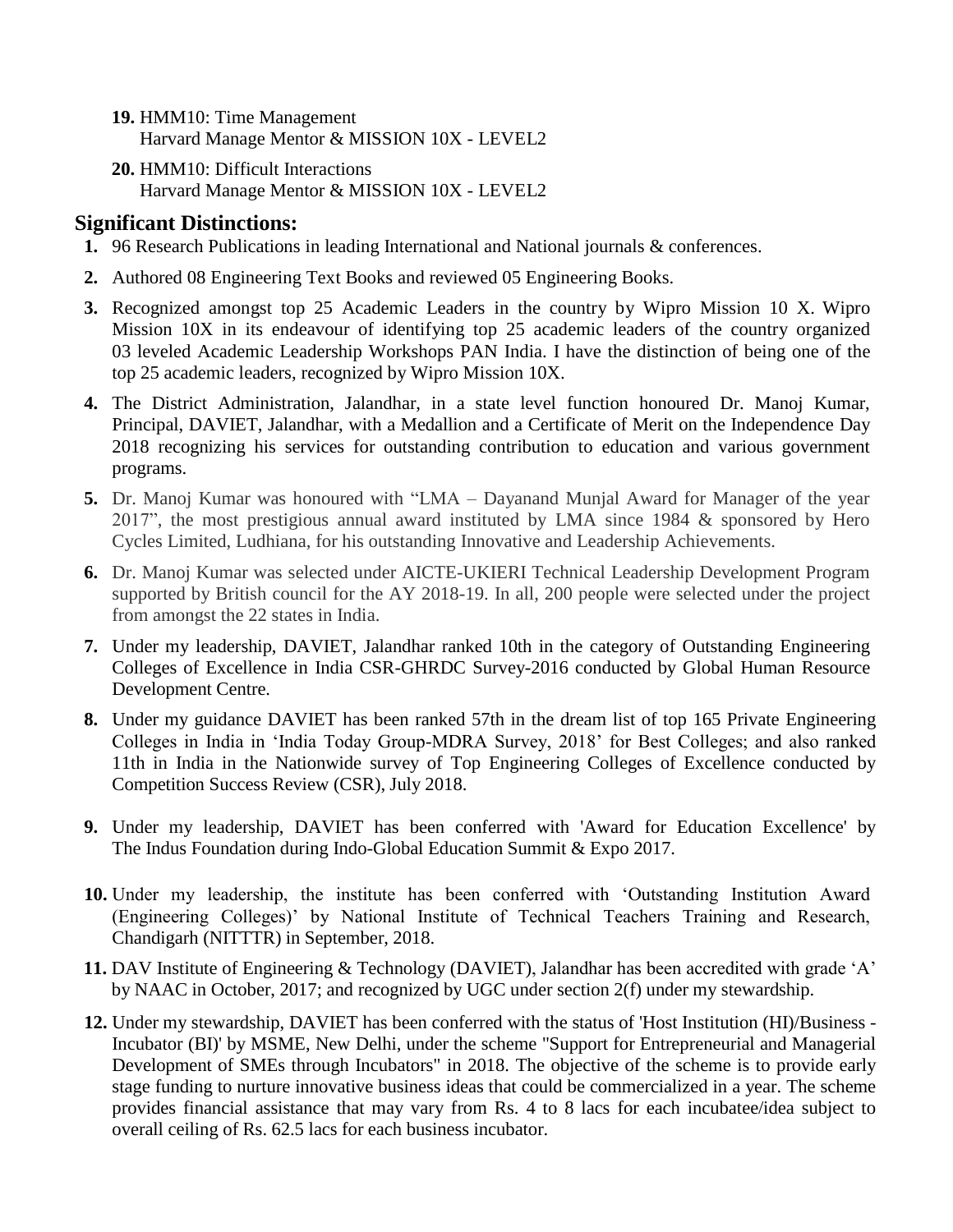- **19.** HMM10: Time Management Harvard Manage Mentor & MISSION 10X - LEVEL2
- **20.** HMM10: Difficult Interactions Harvard Manage Mentor & MISSION 10X - LEVEL2

# **Significant Distinctions:**

- **1.** 96 Research Publications in leading International and National journals & conferences.
- **2.** Authored 08 Engineering Text Books and reviewed 05 Engineering Books.
- **3.** Recognized amongst top 25 Academic Leaders in the country by Wipro Mission 10 X. Wipro Mission 10X in its endeavour of identifying top 25 academic leaders of the country organized 03 leveled Academic Leadership Workshops PAN India. I have the distinction of being one of the top 25 academic leaders, recognized by Wipro Mission 10X.
- **4.** The District Administration, Jalandhar, in a state level function honoured Dr. Manoj Kumar, Principal, DAVIET, Jalandhar, with a Medallion and a Certificate of Merit on the Independence Day 2018 recognizing his services for outstanding contribution to education and various government programs.
- **5.** Dr. Manoj Kumar was honoured with "LMA Dayanand Munjal Award for Manager of the year 2017", the most prestigious annual award instituted by LMA since 1984 & sponsored by Hero Cycles Limited, Ludhiana, for his outstanding Innovative and Leadership Achievements.
- **6.** Dr. Manoj Kumar was selected under AICTE-UKIERI Technical Leadership Development Program supported by British council for the AY 2018-19. In all, 200 people were selected under the project from amongst the 22 states in India.
- **7.** Under my leadership, DAVIET, Jalandhar ranked 10th in the category of Outstanding Engineering Colleges of Excellence in India CSR-GHRDC Survey-2016 conducted by Global Human Resource Development Centre.
- **8.** Under my guidance DAVIET has been ranked 57th in the dream list of top 165 Private Engineering Colleges in India in 'India Today Group-MDRA Survey, 2018' for Best Colleges; and also ranked 11th in India in the Nationwide survey of Top Engineering Colleges of Excellence conducted by Competition Success Review (CSR), July 2018.
- **9.** Under my leadership, DAVIET has been conferred with 'Award for Education Excellence' by The Indus Foundation during Indo-Global Education Summit & Expo 2017.
- **10.** Under my leadership, the institute has been conferred with 'Outstanding Institution Award (Engineering Colleges)' by National Institute of Technical Teachers Training and Research, Chandigarh (NITTTR) in September, 2018.
- **11.** DAV Institute of Engineering & Technology (DAVIET), Jalandhar has been accredited with grade 'A' by NAAC in October, 2017; and recognized by UGC under section 2(f) under my stewardship.
- **12.** Under my stewardship, DAVIET has been conferred with the status of 'Host Institution (HI)/Business Incubator (BI)' by MSME, New Delhi, under the scheme "Support for Entrepreneurial and Managerial Development of SMEs through Incubators" in 2018. The objective of the scheme is to provide early stage funding to nurture innovative business ideas that could be commercialized in a year. The scheme provides financial assistance that may vary from Rs. 4 to 8 lacs for each incubatee/idea subject to overall ceiling of Rs. 62.5 lacs for each business incubator.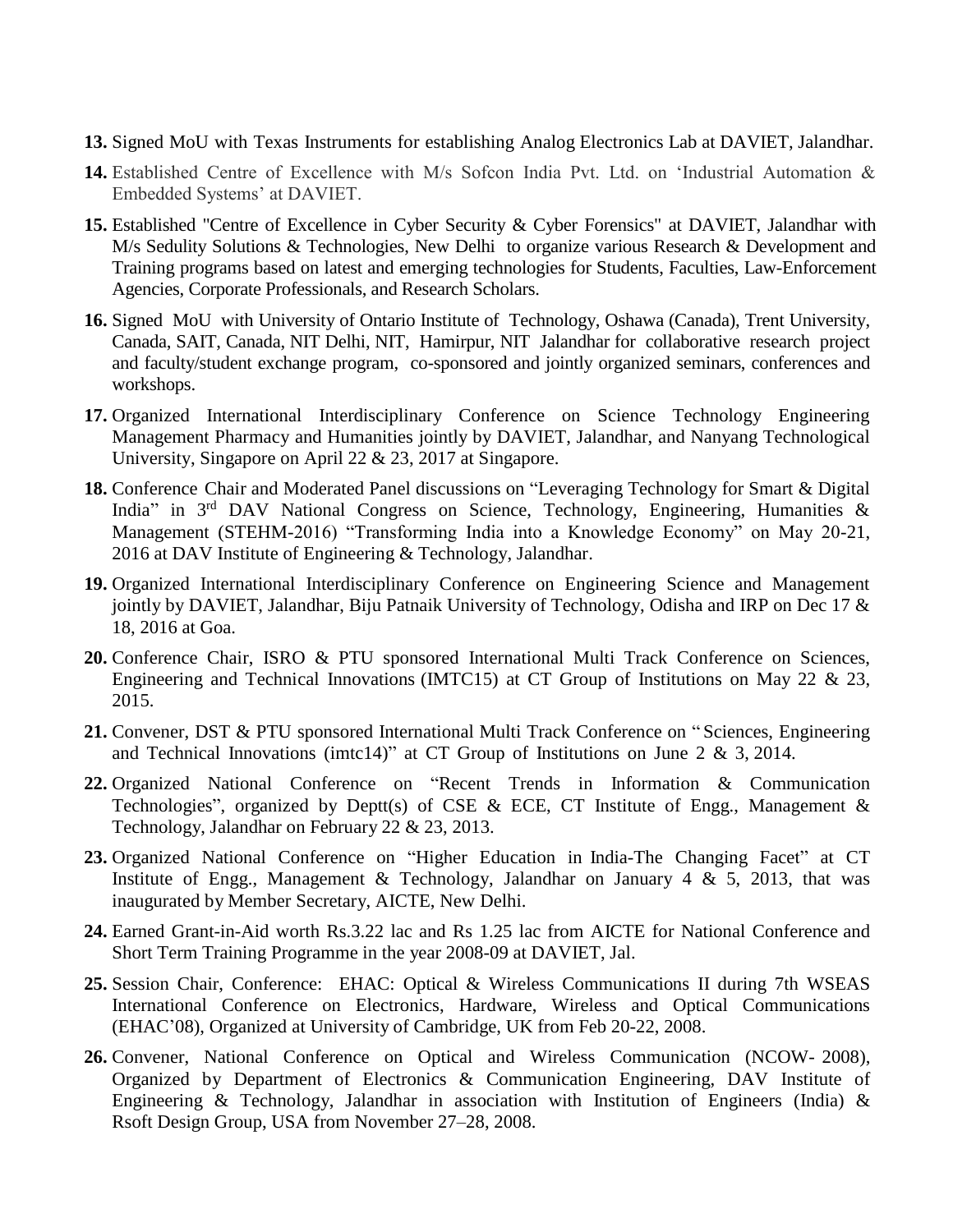- **13.** Signed MoU with Texas Instruments for establishing Analog Electronics Lab at DAVIET, Jalandhar.
- **14.** Established Centre of Excellence with M/s Sofcon India Pvt. Ltd. on 'Industrial Automation & Embedded Systems' at DAVIET.
- **15.** Established "Centre of Excellence in Cyber Security & Cyber Forensics" at DAVIET, Jalandhar with M/s Sedulity Solutions & Technologies, New Delhi to organize various Research & Development and Training programs based on latest and emerging technologies for Students, Faculties, Law-Enforcement Agencies, Corporate Professionals, and Research Scholars.
- **16.** Signed MoU with University of Ontario Institute of Technology, Oshawa (Canada), Trent University, Canada, SAIT, Canada, NIT Delhi, NIT, Hamirpur, NIT Jalandhar for collaborative research project and faculty/student exchange program, co-sponsored and jointly organized seminars, conferences and workshops.
- **17.** Organized International Interdisciplinary Conference on Science Technology Engineering Management Pharmacy and Humanities jointly by DAVIET, Jalandhar, and Nanyang Technological University, Singapore on April 22 & 23, 2017 at Singapore.
- **18.** Conference Chair and Moderated Panel discussions on "Leveraging Technology for Smart & Digital India" in  $3<sup>rd</sup>$  DAV National Congress on Science, Technology, Engineering, Humanities & Management (STEHM-2016) "Transforming India into a Knowledge Economy" on May 20-21, 2016 at DAV Institute of Engineering & Technology, Jalandhar.
- **19.** Organized International Interdisciplinary Conference on Engineering Science and Management jointly by DAVIET, Jalandhar, Biju Patnaik University of Technology, Odisha and IRP on Dec 17 & 18, 2016 at Goa.
- **20.** Conference Chair, ISRO & PTU sponsored International Multi Track Conference on Sciences, Engineering and Technical Innovations (IMTC15) at CT Group of Institutions on May 22 & 23, 2015.
- **21.** Convener, DST & PTU sponsored International Multi Track Conference on " Sciences, Engineering and Technical Innovations (imtc14)" at CT Group of Institutions on June 2 & 3, 2014.
- **22.** Organized National Conference on "Recent Trends in Information & Communication Technologies", organized by Deptt(s) of CSE & ECE, CT Institute of Engg., Management  $\&$ Technology, Jalandhar on February 22 & 23, 2013.
- **23.** Organized National Conference on "Higher Education in India-The Changing Facet" at CT Institute of Engg., Management & Technology, Jalandhar on January 4 & 5, 2013, that was inaugurated by Member Secretary, AICTE, New Delhi.
- **24.** Earned Grant-in-Aid worth Rs.3.22 lac and Rs 1.25 lac from AICTE for National Conference and Short Term Training Programme in the year 2008-09 at DAVIET, Jal.
- **25.** Session Chair, Conference: EHAC: Optical & Wireless Communications II during 7th WSEAS International Conference on Electronics, Hardware, Wireless and Optical Communications (EHAC'08), Organized at University of Cambridge, UK from Feb 20-22, 2008.
- **26.** Convener, National Conference on Optical and Wireless Communication (NCOW- 2008), Organized by Department of Electronics & Communication Engineering, DAV Institute of Engineering & Technology, Jalandhar in association with Institution of Engineers (India) & Rsoft Design Group, USA from November 27–28, 2008.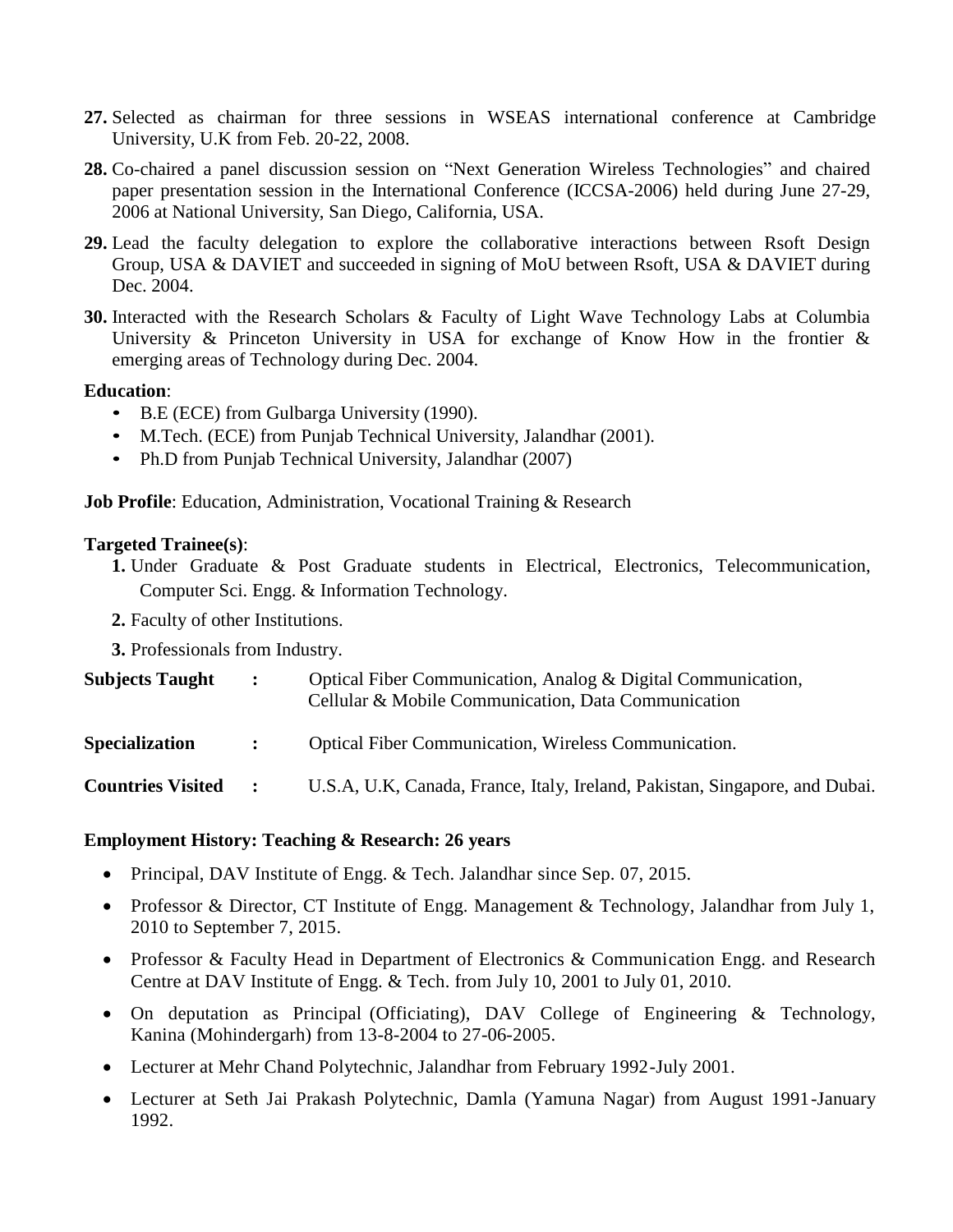- **27.** Selected as chairman for three sessions in WSEAS international conference at Cambridge University, U.K from Feb. 20-22, 2008.
- **28.** Co-chaired a panel discussion session on "Next Generation Wireless Technologies" and chaired paper presentation session in the International Conference (ICCSA-2006) held during June 27-29, 2006 at National University, San Diego, California, USA.
- **29.** Lead the faculty delegation to explore the collaborative interactions between Rsoft Design Group, USA & DAVIET and succeeded in signing of MoU between Rsoft, USA & DAVIET during Dec. 2004.
- **30.** Interacted with the Research Scholars & Faculty of Light Wave Technology Labs at Columbia University & Princeton University in USA for exchange of Know How in the frontier & emerging areas of Technology during Dec. 2004.

#### **Education**:

- B.E (ECE) from Gulbarga University (1990).
- M.Tech. (ECE) from Punjab Technical University, Jalandhar (2001).
- Ph.D from Punjab Technical University, Jalandhar (2007)

**Job Profile**: Education, Administration, Vocational Training & Research

#### **Targeted Trainee(s)**:

- **1.** Under Graduate & Post Graduate students in Electrical, Electronics, Telecommunication, Computer Sci. Engg. & Information Technology.
- **2.** Faculty of other Institutions.
- **3.** Professionals from Industry.

| <b>Subjects Taught</b>   | $\mathbf{L}$        | Optical Fiber Communication, Analog & Digital Communication,<br>Cellular & Mobile Communication, Data Communication |
|--------------------------|---------------------|---------------------------------------------------------------------------------------------------------------------|
| <b>Specialization</b>    | $\sim$ 1.000 $\sim$ | <b>Optical Fiber Communication, Wireless Communication.</b>                                                         |
| <b>Countries Visited</b> | $\ddot{\cdot}$      | U.S.A, U.K, Canada, France, Italy, Ireland, Pakistan, Singapore, and Dubai.                                         |

#### **Employment History: Teaching & Research: 26 years**

- Principal, DAV Institute of Engg. & Tech. Jalandhar since Sep. 07, 2015.
- Professor & Director, CT Institute of Engg. Management & Technology, Jalandhar from July 1, 2010 to September 7, 2015.
- Professor & Faculty Head in Department of Electronics & Communication Engg. and Research Centre at DAV Institute of Engg. & Tech. from July 10, 2001 to July 01, 2010.
- On deputation as Principal (Officiating), DAV College of Engineering & Technology, Kanina (Mohindergarh) from 13-8-2004 to 27-06-2005.
- Lecturer at Mehr Chand Polytechnic, Jalandhar from February 1992-July 2001.
- Lecturer at Seth Jai Prakash Polytechnic, Damla (Yamuna Nagar) from August 1991-January 1992.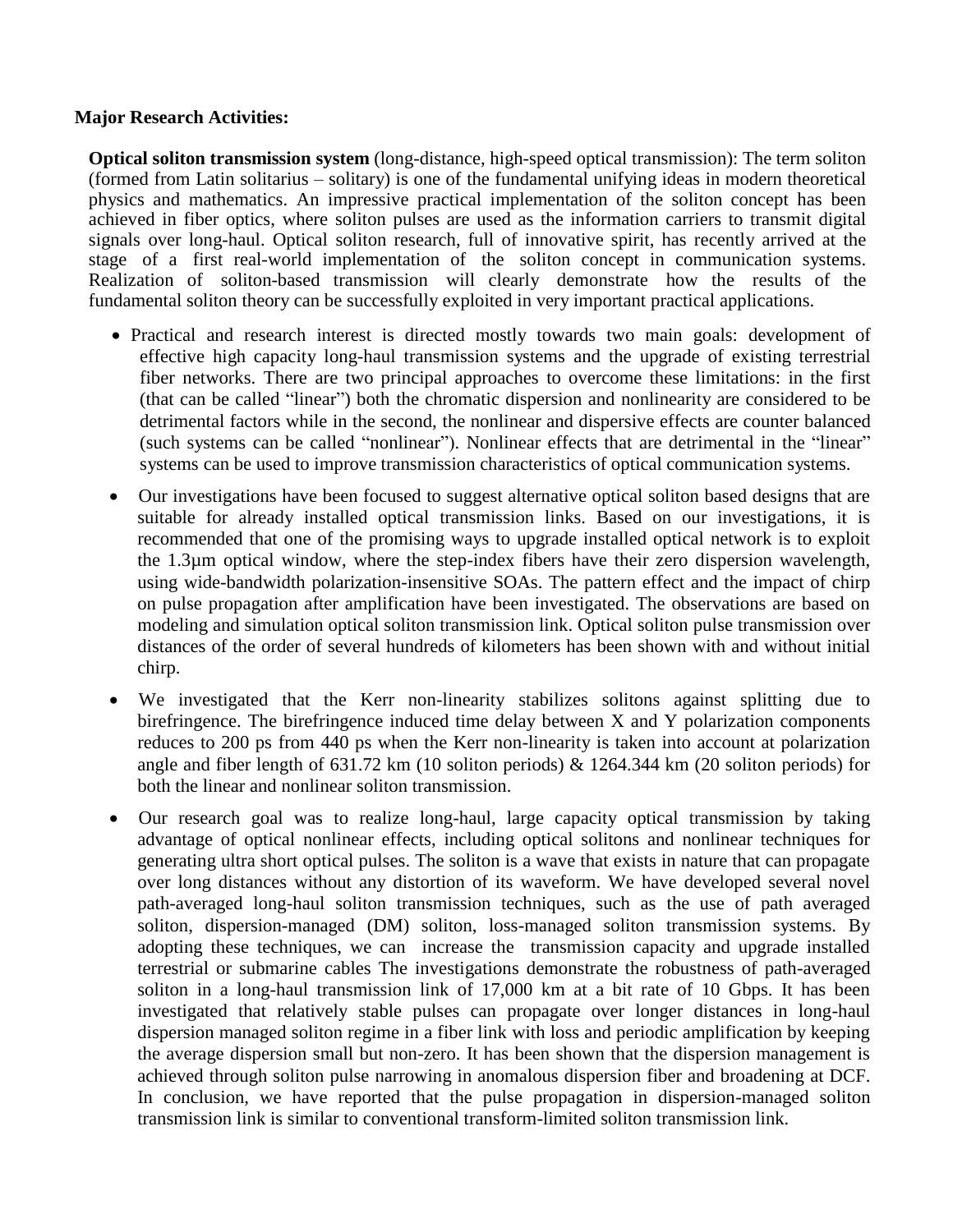## **Major Research Activities:**

**Optical soliton transmission system** (long-distance, high-speed optical transmission): The term soliton (formed from Latin solitarius – solitary) is one of the fundamental unifying ideas in modern theoretical physics and mathematics. An impressive practical implementation of the soliton concept has been achieved in fiber optics, where soliton pulses are used as the information carriers to transmit digital signals over long-haul. Optical soliton research, full of innovative spirit, has recently arrived at the stage of a first real-world implementation of the soliton concept in communication systems. Realization of soliton-based transmission will clearly demonstrate how the results of the fundamental soliton theory can be successfully exploited in very important practical applications.

- Practical and research interest is directed mostly towards two main goals: development of effective high capacity long-haul transmission systems and the upgrade of existing terrestrial fiber networks. There are two principal approaches to overcome these limitations: in the first (that can be called "linear") both the chromatic dispersion and nonlinearity are considered to be detrimental factors while in the second, the nonlinear and dispersive effects are counter balanced (such systems can be called "nonlinear"). Nonlinear effects that are detrimental in the "linear" systems can be used to improve transmission characteristics of optical communication systems.
- Our investigations have been focused to suggest alternative optical soliton based designs that are suitable for already installed optical transmission links. Based on our investigations, it is recommended that one of the promising ways to upgrade installed optical network is to exploit the 1.3µm optical window, where the step-index fibers have their zero dispersion wavelength, using wide-bandwidth polarization-insensitive SOAs. The pattern effect and the impact of chirp on pulse propagation after amplification have been investigated. The observations are based on modeling and simulation optical soliton transmission link. Optical soliton pulse transmission over distances of the order of several hundreds of kilometers has been shown with and without initial chirp.
- We investigated that the Kerr non-linearity stabilizes solitons against splitting due to birefringence. The birefringence induced time delay between X and Y polarization components reduces to 200 ps from 440 ps when the Kerr non-linearity is taken into account at polarization angle and fiber length of 631.72 km (10 soliton periods) & 1264.344 km (20 soliton periods) for both the linear and nonlinear soliton transmission.
- Our research goal was to realize long-haul, large capacity optical transmission by taking advantage of optical nonlinear effects, including optical solitons and nonlinear techniques for generating ultra short optical pulses. The soliton is a wave that exists in nature that can propagate over long distances without any distortion of its waveform. We have developed several novel path-averaged long-haul soliton transmission techniques, such as the use of path averaged soliton, dispersion-managed (DM) soliton, loss-managed soliton transmission systems. By adopting these techniques, we can increase the transmission capacity and upgrade installed terrestrial or submarine cables The investigations demonstrate the robustness of path-averaged soliton in a long-haul transmission link of 17,000 km at a bit rate of 10 Gbps. It has been investigated that relatively stable pulses can propagate over longer distances in long-haul dispersion managed soliton regime in a fiber link with loss and periodic amplification by keeping the average dispersion small but non-zero. It has been shown that the dispersion management is achieved through soliton pulse narrowing in anomalous dispersion fiber and broadening at DCF. In conclusion, we have reported that the pulse propagation in dispersion-managed soliton transmission link is similar to conventional transform-limited soliton transmission link.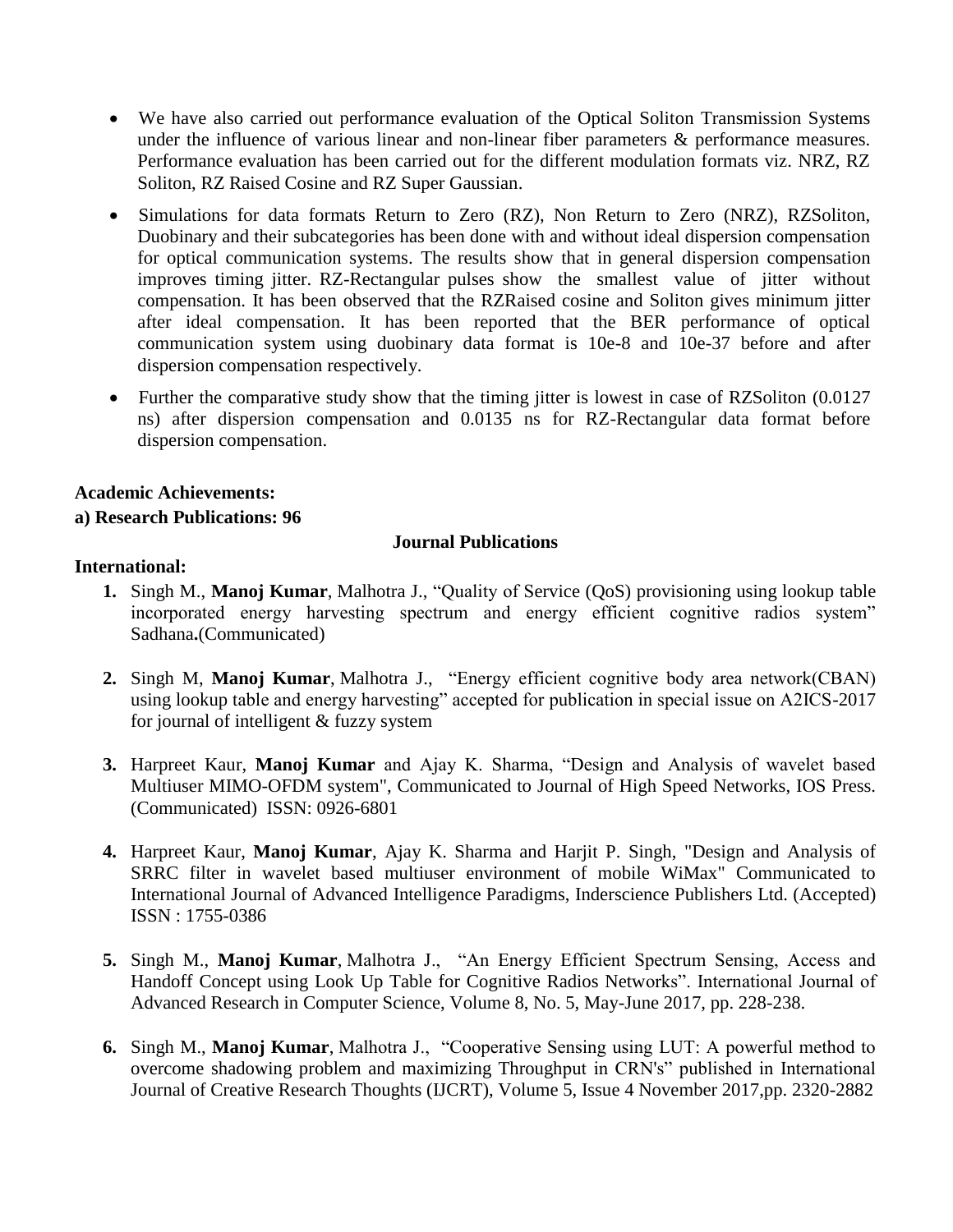- We have also carried out performance evaluation of the Optical Soliton Transmission Systems under the influence of various linear and non-linear fiber parameters  $\&$  performance measures. Performance evaluation has been carried out for the different modulation formats viz. NRZ, RZ Soliton, RZ Raised Cosine and RZ Super Gaussian.
- Simulations for data formats Return to Zero (RZ), Non Return to Zero (NRZ), RZSoliton, Duobinary and their subcategories has been done with and without ideal dispersion compensation for optical communication systems. The results show that in general dispersion compensation improves timing jitter. RZ-Rectangular pulses show the smallest value of jitter without compensation. It has been observed that the RZRaised cosine and Soliton gives minimum jitter after ideal compensation. It has been reported that the BER performance of optical communication system using duobinary data format is 10e-8 and 10e-37 before and after dispersion compensation respectively.
- Further the comparative study show that the timing jitter is lowest in case of RZSoliton (0.0127) ns) after dispersion compensation and 0.0135 ns for RZ-Rectangular data format before dispersion compensation.

## **Academic Achievements:**

## **a) Research Publications: 96**

## **Journal Publications**

## **International:**

- **1.** Singh M., **Manoj Kumar**, Malhotra J., "Quality of Service (QoS) provisioning using lookup table incorporated energy harvesting spectrum and energy efficient cognitive radios system" Sadhana**.**(Communicated)
- **2.** Singh M, **Manoj Kumar**, Malhotra J., "Energy efficient cognitive body area network(CBAN) using lookup table and energy harvesting" accepted for publication in special issue on A2ICS-2017 for journal of intelligent & fuzzy system
- **3.** Harpreet Kaur, **Manoj Kumar** and Ajay K. Sharma, "Design and Analysis of wavelet based Multiuser MIMO-OFDM system", Communicated to Journal of High Speed Networks, IOS Press. (Communicated) ISSN: 0926-6801
- **4.** Harpreet Kaur, **Manoj Kumar**, Ajay K. Sharma and Harjit P. Singh, "Design and Analysis of SRRC filter in wavelet based multiuser environment of mobile WiMax" Communicated to International Journal of Advanced Intelligence Paradigms, Inderscience Publishers Ltd. (Accepted) ISSN : 1755-0386
- **5.** Singh M., **Manoj Kumar**, Malhotra J., "An Energy Efficient Spectrum Sensing, Access and Handoff Concept using Look Up Table for Cognitive Radios Networks". International Journal of Advanced Research in Computer Science, Volume 8, No. 5, May-June 2017, pp. 228-238.
- **6.** Singh M., **Manoj Kumar**, Malhotra J., "Cooperative Sensing using LUT: A powerful method to overcome shadowing problem and maximizing Throughput in CRN's" published in International Journal of Creative Research Thoughts (IJCRT), Volume 5, Issue 4 November 2017,pp. 2320-2882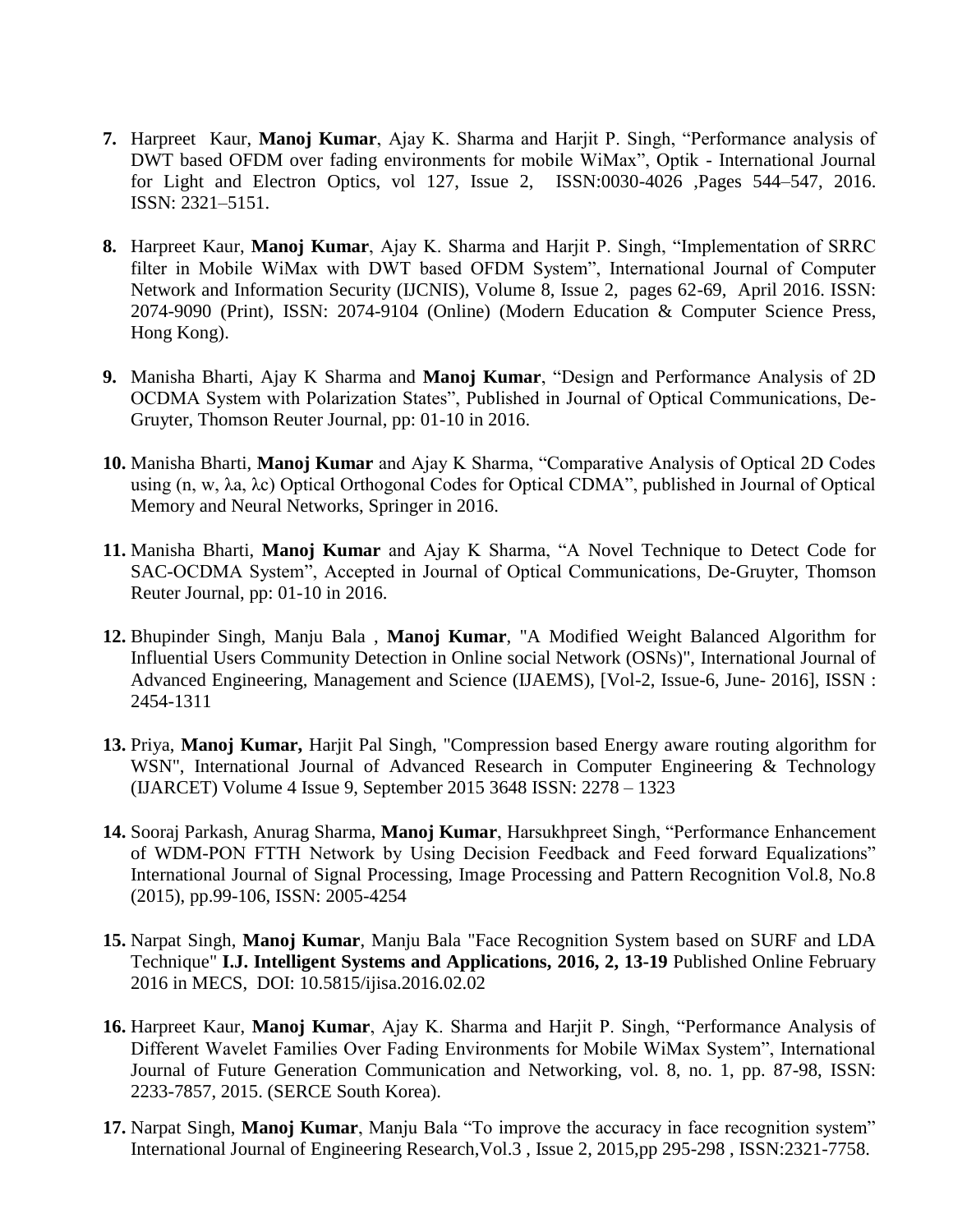- **7.** Harpreet Kaur, **Manoj Kumar**, Ajay K. Sharma and Harjit P. Singh, "Performance analysis of DWT based OFDM over fading environments for mobile WiMax", Optik - International Journal for Light and Electron Optics, vol 127, Issue 2, ISSN:0030-4026 ,Pages 544–547, 2016. ISSN: 2321–5151.
- **8.** Harpreet Kaur, **Manoj Kumar**, Ajay K. Sharma and Harjit P. Singh, "Implementation of SRRC filter in Mobile WiMax with DWT based OFDM System", International Journal of Computer Network and Information Security (IJCNIS), Volume 8, Issue 2, pages 62-69, April 2016. ISSN: 2074-9090 (Print), ISSN: 2074-9104 (Online) (Modern Education & Computer Science Press, Hong Kong).
- **9.** Manisha Bharti, Ajay K Sharma and **Manoj Kumar**, "Design and Performance Analysis of 2D OCDMA System with Polarization States", Published in Journal of Optical Communications, De-Gruyter, Thomson Reuter Journal, pp: 01-10 in 2016.
- **10.** Manisha Bharti, **Manoj Kumar** and Ajay K Sharma, "Comparative Analysis of Optical 2D Codes using (n, w, λa, λc) Optical Orthogonal Codes for Optical CDMA", published in Journal of Optical Memory and Neural Networks, Springer in 2016.
- **11.** Manisha Bharti, **Manoj Kumar** and Ajay K Sharma, "A Novel Technique to Detect Code for SAC-OCDMA System", Accepted in Journal of Optical Communications, De-Gruyter, Thomson Reuter Journal, pp: 01-10 in 2016.
- **12.** Bhupinder Singh, Manju Bala , **Manoj Kumar**, "A Modified Weight Balanced Algorithm for Influential Users Community Detection in Online social Network (OSNs)", International Journal of Advanced Engineering, Management and Science (IJAEMS), [Vol-2, Issue-6, June- 2016], ISSN : 2454-1311
- **13.** Priya, **Manoj Kumar,** Harjit Pal Singh, "Compression based Energy aware routing algorithm for WSN", International Journal of Advanced Research in Computer Engineering & Technology (IJARCET) Volume 4 Issue 9, September 2015 3648 ISSN: 2278 – 1323
- **14.** Sooraj Parkash, Anurag Sharma, **Manoj Kumar**, Harsukhpreet Singh, "Performance Enhancement of WDM-PON FTTH Network by Using Decision Feedback and Feed forward Equalizations" International Journal of Signal Processing, Image Processing and Pattern Recognition Vol.8, No.8 (2015), pp.99-106, ISSN: 2005-4254
- **15.** Narpat Singh, **Manoj Kumar**, Manju Bala "Face Recognition System based on SURF and LDA Technique" **I.J. Intelligent Systems and Applications, 2016, 2, 13-19** Published Online February 2016 in MECS, DOI: 10.5815/ijisa.2016.02.02
- **16.** Harpreet Kaur, **Manoj Kumar**, Ajay K. Sharma and Harjit P. Singh, "Performance Analysis of Different Wavelet Families Over Fading Environments for Mobile WiMax System", International Journal of Future Generation Communication and Networking, vol. 8, no. 1, pp. 87-98, ISSN: 2233-7857, 2015. (SERCE South Korea).
- **17.** Narpat Singh, **Manoj Kumar**, Manju Bala "To improve the accuracy in face recognition system" International Journal of Engineering Research,Vol.3 , Issue 2, 2015,pp 295-298 , ISSN:2321-7758.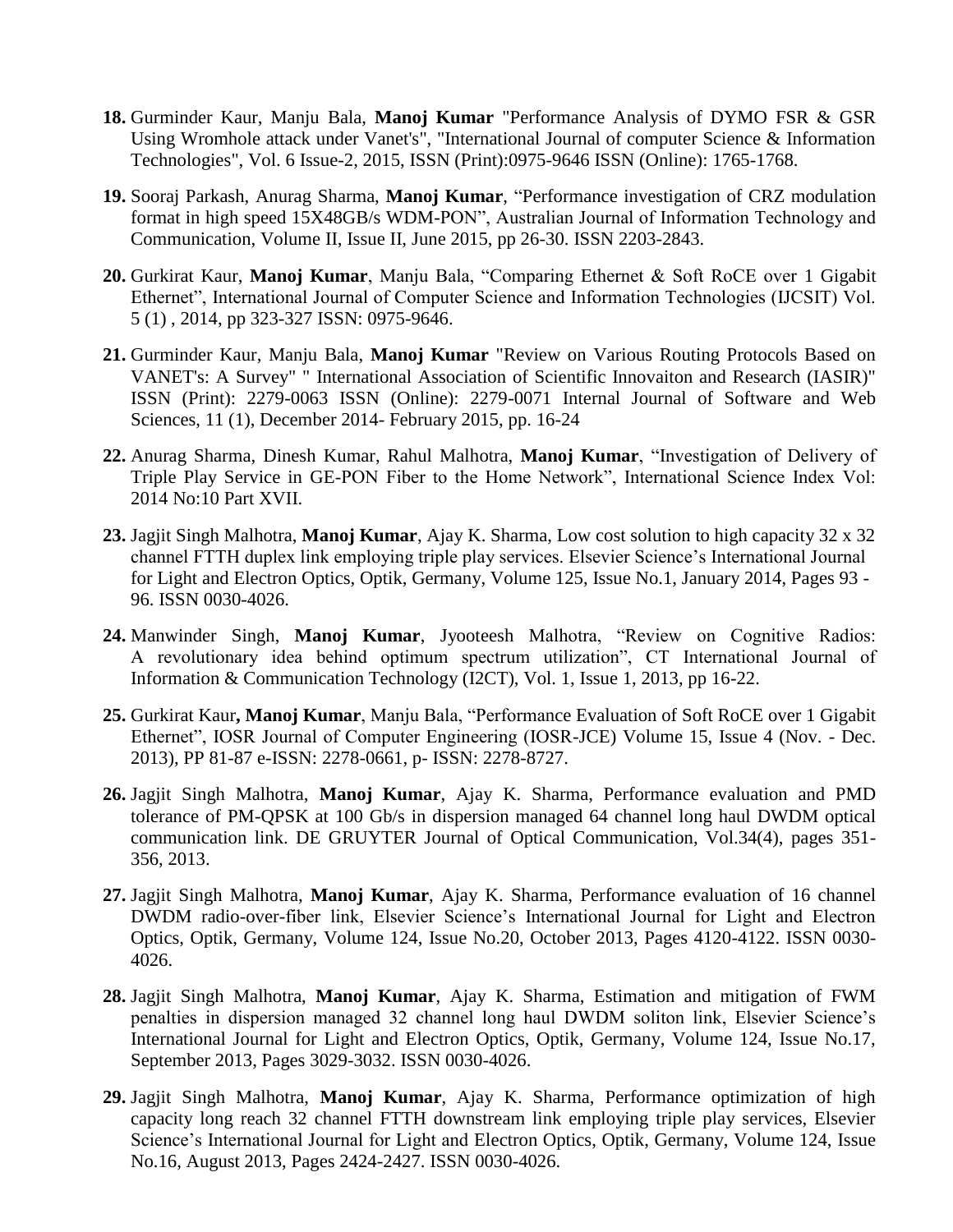- **18.** Gurminder Kaur, Manju Bala, **Manoj Kumar** "Performance Analysis of DYMO FSR & GSR Using Wromhole attack under Vanet's", "International Journal of computer Science & Information Technologies", Vol. 6 Issue-2, 2015, ISSN (Print):0975-9646 ISSN (Online): 1765-1768.
- **19.** Sooraj Parkash, Anurag Sharma, **Manoj Kumar**, "Performance investigation of CRZ modulation format in high speed 15X48GB/s WDM-PON", Australian Journal of Information Technology and Communication, Volume II, Issue II, June 2015, pp 26-30. ISSN 2203-2843.
- **20.** Gurkirat Kaur, **Manoj Kumar**, Manju Bala, "Comparing Ethernet & Soft RoCE over 1 Gigabit Ethernet", International Journal of Computer Science and Information Technologies (IJCSIT) Vol. 5 (1) , 2014, pp 323-327 ISSN: 0975-9646.
- **21.** Gurminder Kaur, Manju Bala, **Manoj Kumar** "Review on Various Routing Protocols Based on VANET's: A Survey" " International Association of Scientific Innovaiton and Research (IASIR)" ISSN (Print): 2279-0063 ISSN (Online): 2279-0071 Internal Journal of Software and Web Sciences, 11 (1), December 2014- February 2015, pp. 16-24
- **22.** Anurag Sharma, Dinesh Kumar, Rahul Malhotra, **Manoj Kumar**, "Investigation of Delivery of Triple Play Service in GE-PON Fiber to the Home Network", International Science Index Vol: 2014 No:10 Part XVII.
- **23.** Jagjit Singh Malhotra, **Manoj Kumar**, Ajay K. Sharma, Low cost solution to high capacity 32 x 32 channel FTTH duplex link employing triple play services. Elsevier Science's International Journal for Light and Electron Optics, Optik, Germany, Volume 125, Issue No.1, January 2014, Pages 93 - 96. ISSN 0030-4026.
- **24.** Manwinder Singh, **Manoj Kumar**, Jyooteesh Malhotra, "Review on Cognitive Radios: A revolutionary idea behind optimum spectrum utilization", CT International Journal of Information & Communication Technology (I2CT), Vol. 1, Issue 1, 2013, pp 16-22.
- **25.** Gurkirat Kaur**, Manoj Kumar**, Manju Bala, "Performance Evaluation of Soft RoCE over 1 Gigabit Ethernet", IOSR Journal of Computer Engineering (IOSR-JCE) Volume 15, Issue 4 (Nov. - Dec. 2013), PP 81-87 e-ISSN: 2278-0661, p- ISSN: 2278-8727.
- **26.** Jagjit Singh Malhotra, **Manoj Kumar**, Ajay K. Sharma, Performance evaluation and PMD tolerance of PM-QPSK at 100 Gb/s in dispersion managed 64 channel long haul DWDM optical communication link. DE GRUYTER Journal of Optical Communication, Vol.34(4), pages 351- 356, 2013.
- **27.** Jagjit Singh Malhotra, **Manoj Kumar**, Ajay K. Sharma, Performance evaluation of 16 channel DWDM radio-over-fiber link, Elsevier Science's International Journal for Light and Electron Optics, Optik, Germany, Volume 124, Issue No.20, October 2013, Pages 4120-4122. ISSN 0030- 4026.
- **28.** Jagjit Singh Malhotra, **Manoj Kumar**, Ajay K. Sharma, Estimation and mitigation of FWM penalties in dispersion managed 32 channel long haul DWDM soliton link, Elsevier Science's International Journal for Light and Electron Optics, Optik, Germany, Volume 124, Issue No.17, September 2013, Pages 3029-3032. ISSN 0030-4026.
- **29.** Jagjit Singh Malhotra, **Manoj Kumar**, Ajay K. Sharma, Performance optimization of high capacity long reach 32 channel FTTH downstream link employing triple play services, Elsevier Science's International Journal for Light and Electron Optics, Optik, Germany, Volume 124, Issue No.16, August 2013, Pages 2424-2427. ISSN 0030-4026.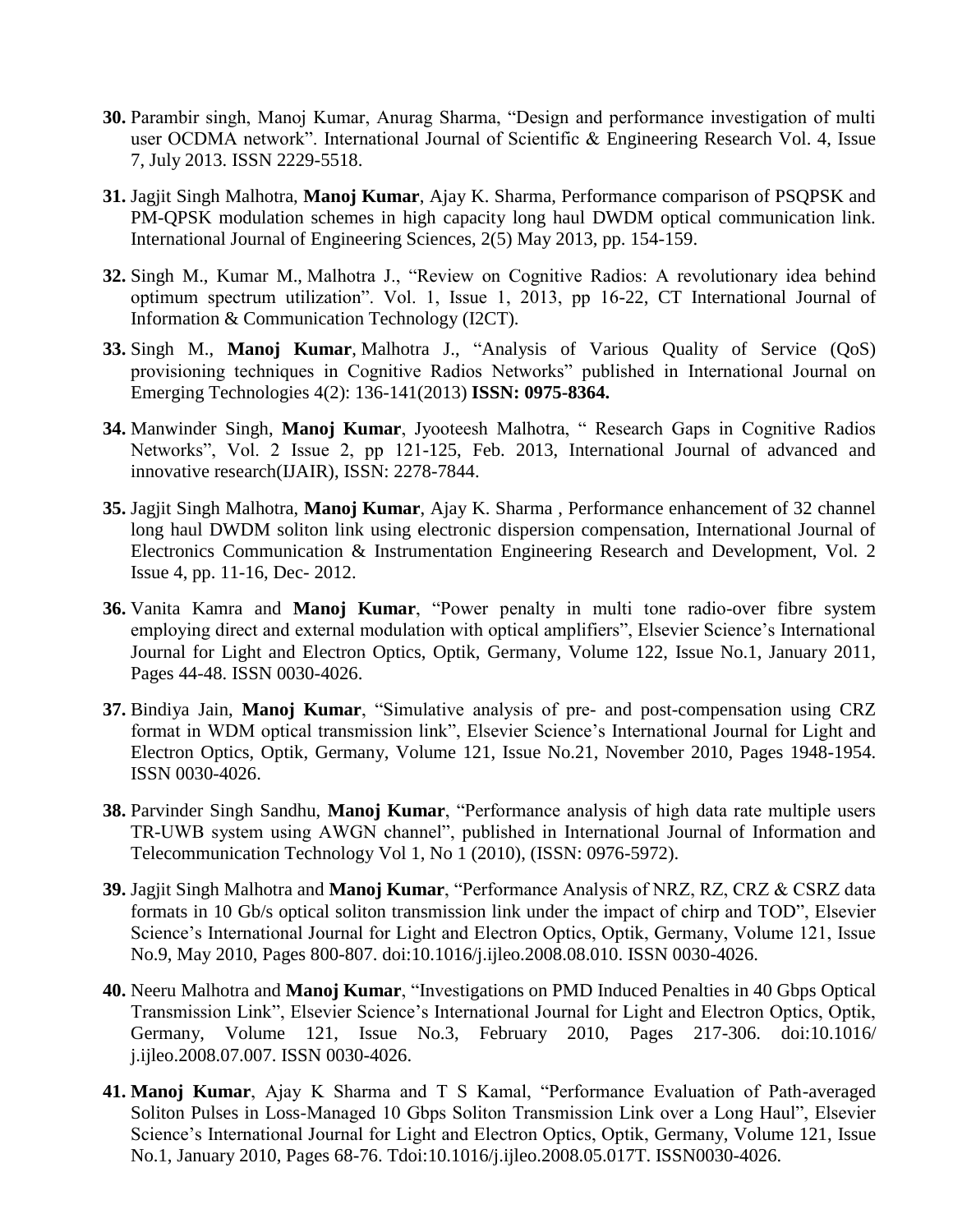- **30.** Parambir singh, Manoj Kumar, Anurag Sharma, "Design and performance investigation of multi user OCDMA network". International Journal of Scientific & Engineering Research Vol. 4, Issue 7, July 2013. ISSN 2229-5518.
- **31.** Jagjit Singh Malhotra, **Manoj Kumar**, Ajay K. Sharma, Performance comparison of PSQPSK and PM-QPSK modulation schemes in high capacity long haul DWDM optical communication link. International Journal of Engineering Sciences, 2(5) May 2013, pp. 154-159.
- **32.** Singh M., Kumar M., Malhotra J., "Review on Cognitive Radios: A revolutionary idea behind optimum spectrum utilization". Vol. 1, Issue 1, 2013, pp 16-22, CT International Journal of Information & Communication Technology (I2CT).
- **33.** Singh M., **Manoj Kumar**, Malhotra J., "Analysis of Various Quality of Service (QoS) provisioning techniques in Cognitive Radios Networks" published in International Journal on Emerging Technologies 4(2): 136-141(2013) **ISSN: 0975-8364.**
- **34.** Manwinder Singh, **Manoj Kumar**, Jyooteesh Malhotra, " Research Gaps in Cognitive Radios Networks", Vol. 2 Issue 2, pp 121-125, Feb. 2013, International Journal of advanced and innovative research(IJAIR), ISSN: 2278-7844.
- **35.** Jagjit Singh Malhotra, **Manoj Kumar**, Ajay K. Sharma , Performance enhancement of 32 channel long haul DWDM soliton link using electronic dispersion compensation, International Journal of Electronics Communication & Instrumentation Engineering Research and Development, Vol. 2 Issue 4, pp. 11-16, Dec- 2012.
- **36.** Vanita Kamra and **Manoj Kumar**, "Power penalty in multi tone radio-over fibre system employing direct and external modulation with optical amplifiers", Elsevier Science's International Journal for Light and Electron Optics, Optik, Germany, Volume 122, Issue No.1, January 2011, Pages 44-48. ISSN 0030-4026.
- **37.** Bindiya Jain, **Manoj Kumar**, "Simulative analysis of pre- and post-compensation using CRZ format in WDM optical transmission link", Elsevier Science's International Journal for Light and Electron Optics, Optik, Germany, Volume 121, Issue No.21, November 2010, Pages 1948-1954. ISSN 0030-4026.
- **38.** Parvinder Singh Sandhu, **Manoj Kumar**, "Performance analysis of high data rate multiple users TR-UWB system using AWGN channel", published in International Journal of Information and Telecommunication Technology Vol 1, No 1 (2010), (ISSN: 0976-5972).
- **39.** Jagjit Singh Malhotra and **Manoj Kumar**, "Performance Analysis of NRZ, RZ, CRZ & CSRZ data formats in 10 Gb/s optical soliton transmission link under the impact of chirp and TOD", Elsevier Science's International Journal for Light and Electron Optics, Optik, Germany, Volume 121, Issue No.9, May 2010, Pages 800-807. doi:10.1016/j.ijleo.2008.08.010. ISSN 0030-4026.
- **40.** Neeru Malhotra and **Manoj Kumar**, "Investigations on PMD Induced Penalties in 40 Gbps Optical Transmission Link", Elsevier Science's International Journal for Light and Electron Optics, Optik, Germany, Volume 121, Issue No.3, February 2010, Pages 217-306. doi:10.1016/ j.ijleo.2008.07.007. ISSN 0030-4026.
- **41. Manoj Kumar**, Ajay K Sharma and T S Kamal, "Performance Evaluation of Path-averaged Soliton Pulses in Loss-Managed 10 Gbps Soliton Transmission Link over a Long Haul", Elsevier Science's International Journal for Light and Electron Optics, Optik, Germany, Volume 121, Issue No.1, January 2010, Pages 68-76. Tdoi:10.1016/j.ijleo.2008.05.017T. ISSN0030-4026.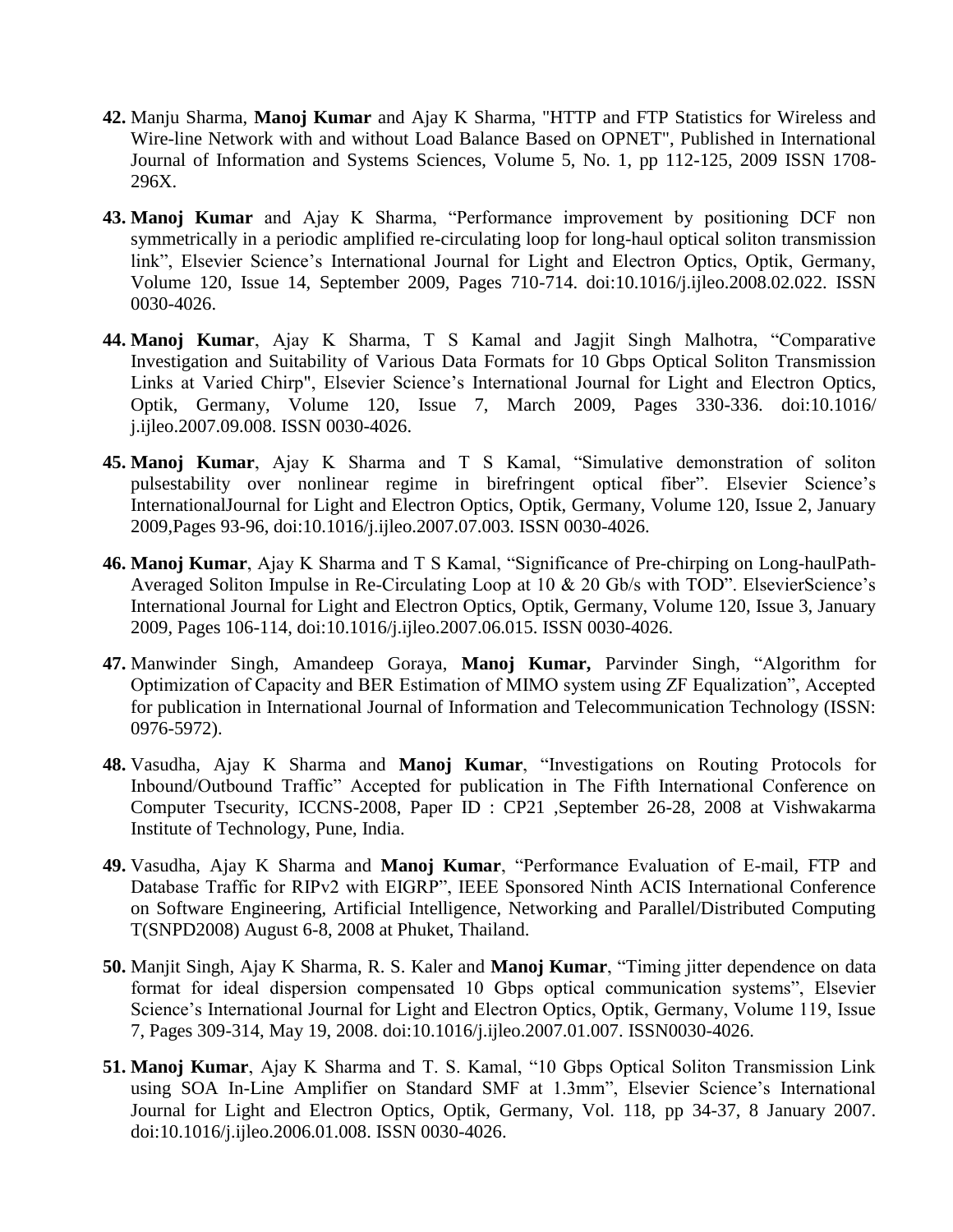- **42.** Manju Sharma, **Manoj Kumar** and Ajay K Sharma, "HTTP and FTP Statistics for Wireless and Wire-line Network with and without Load Balance Based on OPNET", Published in International Journal of Information and Systems Sciences, Volume 5, No. 1, pp 112-125, 2009 ISSN 1708- 296X.
- **43. Manoj Kumar** and Ajay K Sharma, "Performance improvement by positioning DCF non symmetrically in a periodic amplified re-circulating loop for long-haul optical soliton transmission link", Elsevier Science's International Journal for Light and Electron Optics, Optik, Germany, Volume 120, Issue 14, September 2009, Pages 710-714. doi:10.1016/j.ijleo.2008.02.022. ISSN 0030-4026.
- **44. Manoj Kumar**, Ajay K Sharma, T S Kamal and Jagjit Singh Malhotra, "Comparative Investigation and Suitability of Various Data Formats for 10 Gbps Optical Soliton Transmission Links at Varied Chirp", Elsevier Science's International Journal for Light and Electron Optics, Optik, Germany, Volume 120, Issue 7, March 2009, Pages 330-336. doi:10.1016/ j.ijleo.2007.09.008. ISSN 0030-4026.
- **45. Manoj Kumar**, Ajay K Sharma and T S Kamal, "Simulative demonstration of soliton pulsestability over nonlinear regime in birefringent optical fiber". Elsevier Science's InternationalJournal for Light and Electron Optics, Optik, Germany, Volume 120, Issue 2, January 2009,Pages 93-96, doi:10.1016/j.ijleo.2007.07.003. ISSN 0030-4026.
- **46. Manoj Kumar**, Ajay K Sharma and T S Kamal, "Significance of Pre-chirping on Long-haulPath-Averaged Soliton Impulse in Re-Circulating Loop at 10 & 20 Gb/s with TOD". ElsevierScience's International Journal for Light and Electron Optics, Optik, Germany, Volume 120, Issue 3, January 2009, Pages 106-114, doi:10.1016/j.ijleo.2007.06.015. ISSN 0030-4026.
- **47.** Manwinder Singh, Amandeep Goraya, **Manoj Kumar,** Parvinder Singh, "Algorithm for Optimization of Capacity and BER Estimation of MIMO system using ZF Equalization", Accepted for publication in International Journal of Information and Telecommunication Technology (ISSN: 0976-5972).
- **48.** Vasudha, Ajay K Sharma and **Manoj Kumar**, "Investigations on Routing Protocols for Inbound/Outbound Traffic" Accepted for publication in The Fifth International Conference on Computer Tsecurity, ICCNS-2008, Paper ID : CP21 ,September 26-28, 2008 at Vishwakarma Institute of Technology, Pune, India.
- **49.** Vasudha, Ajay K Sharma and **Manoj Kumar**, "Performance Evaluation of E-mail, FTP and Database Traffic for RIPv2 with EIGRP", IEEE Sponsored Ninth ACIS International Conference on Software Engineering, Artificial Intelligence, Networking and Parallel/Distributed Computing T(SNPD2008) August 6-8, 2008 at Phuket, Thailand.
- **50.** Manjit Singh, Ajay K Sharma, R. S. Kaler and **Manoj Kumar**, "Timing jitter dependence on data format for ideal dispersion compensated 10 Gbps optical communication systems", Elsevier Science's International Journal for Light and Electron Optics, Optik, Germany, Volume 119, Issue 7, Pages 309-314, May 19, 2008. doi:10.1016/j.ijleo.2007.01.007. ISSN0030-4026.
- **51. Manoj Kumar**, Ajay K Sharma and T. S. Kamal, "10 Gbps Optical Soliton Transmission Link using SOA In-Line Amplifier on Standard SMF at 1.3mm", Elsevier Science's International Journal for Light and Electron Optics, Optik, Germany, Vol. 118, pp 34-37, 8 January 2007. doi:10.1016/j.ijleo.2006.01.008. ISSN 0030-4026.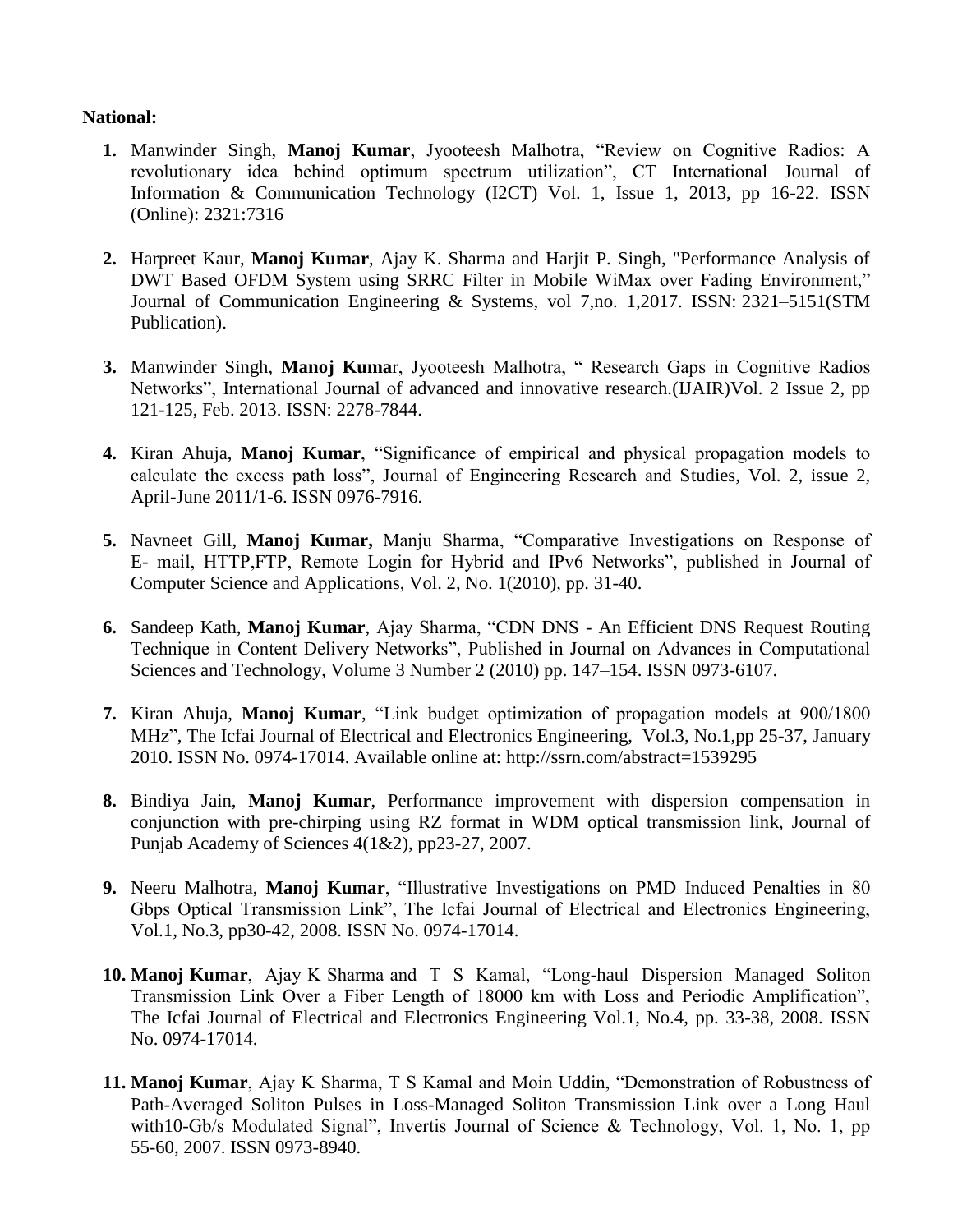## **National:**

- **1.** Manwinder Singh, **Manoj Kumar**, Jyooteesh Malhotra, "Review on Cognitive Radios: A revolutionary idea behind optimum spectrum utilization", CT International Journal of Information & Communication Technology (I2CT) Vol. 1, Issue 1, 2013, pp 16-22. ISSN (Online): 2321:7316
- **2.** Harpreet Kaur, **Manoj Kumar**, Ajay K. Sharma and Harjit P. Singh, "Performance Analysis of DWT Based OFDM System using SRRC Filter in Mobile WiMax over Fading Environment," Journal of Communication Engineering & Systems, vol 7,no. 1,2017. ISSN: 2321–5151(STM Publication).
- **3.** Manwinder Singh, **Manoj Kuma**r, Jyooteesh Malhotra, " Research Gaps in Cognitive Radios Networks", International Journal of advanced and innovative research.(IJAIR)Vol. 2 Issue 2, pp 121-125, Feb. 2013. ISSN: 2278-7844.
- **4.** Kiran Ahuja, **Manoj Kumar**, "Significance of empirical and physical propagation models to calculate the excess path loss", Journal of Engineering Research and Studies, Vol. 2, issue 2, April-June 2011/1-6. ISSN 0976-7916.
- **5.** Navneet Gill, **Manoj Kumar,** Manju Sharma, "Comparative Investigations on Response of E- mail, HTTP,FTP, Remote Login for Hybrid and IPv6 Networks", published in Journal of Computer Science and Applications, Vol. 2, No. 1(2010), pp. 31-40.
- **6.** Sandeep Kath, **Manoj Kumar**, Ajay Sharma, "CDN DNS An Efficient DNS Request Routing Technique in Content Delivery Networks", Published in Journal on Advances in Computational Sciences and Technology, Volume 3 Number 2 (2010) pp. 147–154. ISSN 0973-6107.
- **7.** Kiran Ahuja, **Manoj Kumar**, "Link budget optimization of propagation models at 900/1800 MHz", The Icfai Journal of Electrical and Electronics Engineering, Vol.3, No.1,pp 25-37, January 2010. ISSN No. 0974-17014. Available online at: http://ssrn.com/abstract=1539295
- **8.** Bindiya Jain, **Manoj Kumar**, Performance improvement with dispersion compensation in conjunction with pre-chirping using RZ format in WDM optical transmission link, Journal of Punjab Academy of Sciences 4(1&2), pp23-27, 2007.
- **9.** Neeru Malhotra, **Manoj Kumar**, "Illustrative Investigations on PMD Induced Penalties in 80 Gbps Optical Transmission Link", The Icfai Journal of Electrical and Electronics Engineering, Vol.1, No.3, pp30-42, 2008. ISSN No. 0974-17014.
- **10. Manoj Kumar**, Ajay K Sharma and T S Kamal, "Long-haul Dispersion Managed Soliton Transmission Link Over a Fiber Length of 18000 km with Loss and Periodic Amplification", The Icfai Journal of Electrical and Electronics Engineering Vol.1, No.4, pp. 33-38, 2008. ISSN No. 0974-17014.
- **11. Manoj Kumar**, Ajay K Sharma, T S Kamal and Moin Uddin, "Demonstration of Robustness of Path-Averaged Soliton Pulses in Loss-Managed Soliton Transmission Link over a Long Haul with10-Gb/s Modulated Signal", Invertis Journal of Science & Technology, Vol. 1, No. 1, pp 55-60, 2007. ISSN 0973-8940.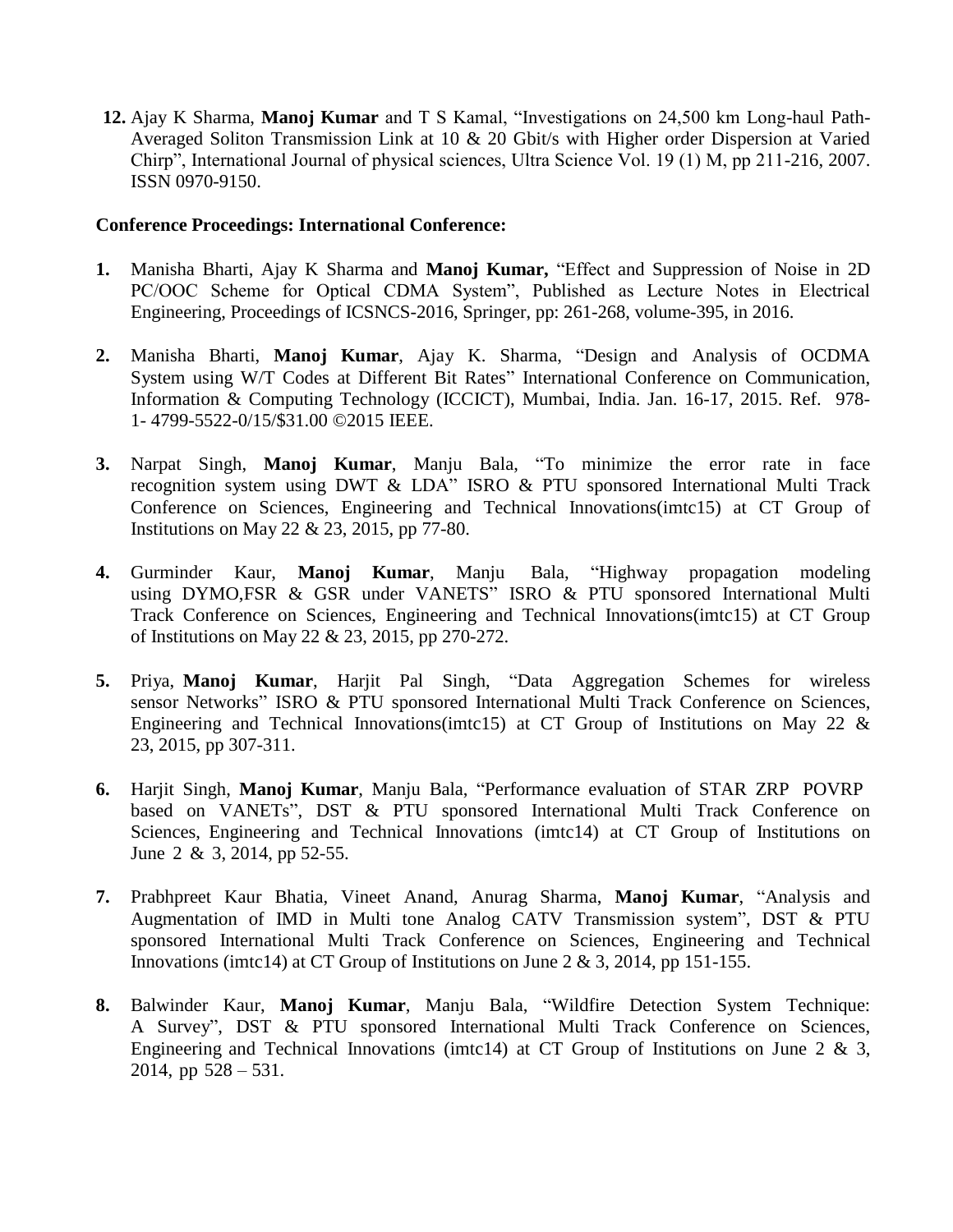**12.** Ajay K Sharma, **Manoj Kumar** and T S Kamal, "Investigations on 24,500 km Long-haul Path-Averaged Soliton Transmission Link at 10 & 20 Gbit/s with Higher order Dispersion at Varied Chirp", International Journal of physical sciences, Ultra Science Vol. 19 (1) M, pp 211-216, 2007. ISSN 0970-9150.

#### **Conference Proceedings: International Conference:**

- **1.** Manisha Bharti, Ajay K Sharma and **Manoj Kumar,** "Effect and Suppression of Noise in 2D PC/OOC Scheme for Optical CDMA System", Published as Lecture Notes in Electrical Engineering, Proceedings of ICSNCS-2016, Springer, pp: 261-268, volume-395, in 2016.
- **2.** Manisha Bharti, **Manoj Kumar**, Ajay K. Sharma, "Design and Analysis of OCDMA System using W/T Codes at Different Bit Rates" International Conference on Communication, Information & Computing Technology (ICCICT), Mumbai, India. Jan. 16-17, 2015. Ref. 978- 1- 4799-5522-0/15/\$31.00 ©2015 IEEE.
- **3.** Narpat Singh, **Manoj Kumar**, Manju Bala, "To minimize the error rate in face recognition system using DWT & LDA" ISRO & PTU sponsored International Multi Track Conference on Sciences, Engineering and Technical Innovations(imtc15) at CT Group of Institutions on May 22 & 23, 2015, pp 77-80.
- **4.** Gurminder Kaur, **Manoj Kumar**, Manju Bala, "Highway propagation modeling using DYMO,FSR & GSR under VANETS" ISRO & PTU sponsored International Multi Track Conference on Sciences, Engineering and Technical Innovations(imtc15) at CT Group of Institutions on May 22 & 23, 2015, pp 270-272.
- **5.** Priya, **Manoj Kumar**, Harjit Pal Singh, "Data Aggregation Schemes for wireless sensor Networks" ISRO & PTU sponsored International Multi Track Conference on Sciences, Engineering and Technical Innovations(imtc15) at CT Group of Institutions on May 22 & 23, 2015, pp 307-311.
- **6.** Harjit Singh, **Manoj Kumar**, Manju Bala, "Performance evaluation of STAR ZRP POVRP based on VANETs", DST & PTU sponsored International Multi Track Conference on Sciences, Engineering and Technical Innovations (imtc14) at CT Group of Institutions on June 2 & 3, 2014, pp 52-55.
- **7.** Prabhpreet Kaur Bhatia, Vineet Anand, Anurag Sharma, **Manoj Kumar**, "Analysis and Augmentation of IMD in Multi tone Analog CATV Transmission system", DST & PTU sponsored International Multi Track Conference on Sciences, Engineering and Technical Innovations (imtc14) at CT Group of Institutions on June 2 & 3, 2014, pp 151-155.
- **8.** Balwinder Kaur, **Manoj Kumar**, Manju Bala, "Wildfire Detection System Technique: A Survey", DST & PTU sponsored International Multi Track Conference on Sciences, Engineering and Technical Innovations (imtc14) at CT Group of Institutions on June 2  $\&$  3, 2014, pp 528 – 531.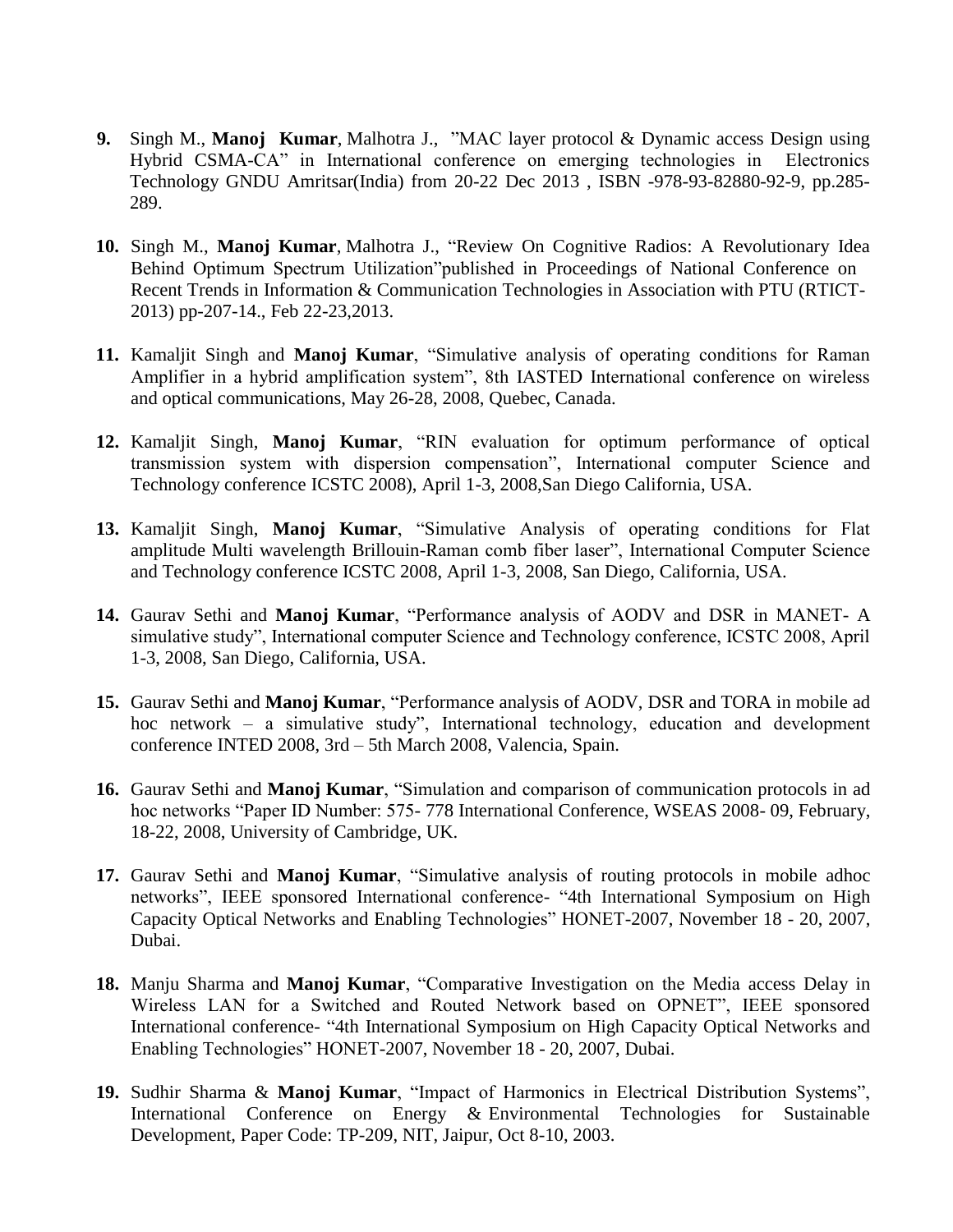- **9.** Singh M., **Manoj Kumar**, Malhotra J., "MAC layer protocol & Dynamic access Design using Hybrid CSMA-CA" in International conference on emerging technologies in Electronics Technology GNDU Amritsar(India) from 20-22 Dec 2013 , ISBN -978-93-82880-92-9, pp.285- 289.
- **10.** Singh M., **Manoj Kumar**, Malhotra J., "Review On Cognitive Radios: A Revolutionary Idea Behind Optimum Spectrum Utilization"published in Proceedings of National Conference on Recent Trends in Information & Communication Technologies in Association with PTU (RTICT-2013) pp-207-14., Feb 22-23,2013.
- **11.** Kamaljit Singh and **Manoj Kumar**, "Simulative analysis of operating conditions for Raman Amplifier in a hybrid amplification system", 8th IASTED International conference on wireless and optical communications, May 26-28, 2008, Quebec, Canada.
- **12.** Kamaljit Singh, **Manoj Kumar**, "RIN evaluation for optimum performance of optical transmission system with dispersion compensation", International computer Science and Technology conference ICSTC 2008), April 1-3, 2008,San Diego California, USA.
- **13.** Kamaljit Singh, **Manoj Kumar**, "Simulative Analysis of operating conditions for Flat amplitude Multi wavelength Brillouin-Raman comb fiber laser", International Computer Science and Technology conference ICSTC 2008, April 1-3, 2008, San Diego, California, USA.
- **14.** Gaurav Sethi and **Manoj Kumar**, "Performance analysis of AODV and DSR in MANET- A simulative study", International computer Science and Technology conference, ICSTC 2008, April 1-3, 2008, San Diego, California, USA.
- **15.** Gaurav Sethi and **Manoj Kumar**, "Performance analysis of AODV, DSR and TORA in mobile ad hoc network – a simulative study", International technology, education and development conference INTED 2008, 3rd – 5th March 2008, Valencia, Spain.
- **16.** Gaurav Sethi and **Manoj Kumar**, "Simulation and comparison of communication protocols in ad hoc networks "Paper ID Number: 575- 778 International Conference, WSEAS 2008- 09, February, 18-22, 2008, University of Cambridge, UK.
- **17.** Gaurav Sethi and **Manoj Kumar**, "Simulative analysis of routing protocols in mobile adhoc networks", IEEE sponsored International conference- "4th International Symposium on High Capacity Optical Networks and Enabling Technologies" HONET-2007, November 18 - 20, 2007, Dubai.
- **18.** Manju Sharma and **Manoj Kumar**, "Comparative Investigation on the Media access Delay in Wireless LAN for a Switched and Routed Network based on OPNET", IEEE sponsored International conference- "4th International Symposium on High Capacity Optical Networks and Enabling Technologies" HONET-2007, November 18 - 20, 2007, Dubai.
- **19.** Sudhir Sharma & **Manoj Kumar**, "Impact of Harmonics in Electrical Distribution Systems", International Conference on Energy & Environmental Technologies for Sustainable Development, Paper Code: TP-209, NIT, Jaipur, Oct 8-10, 2003.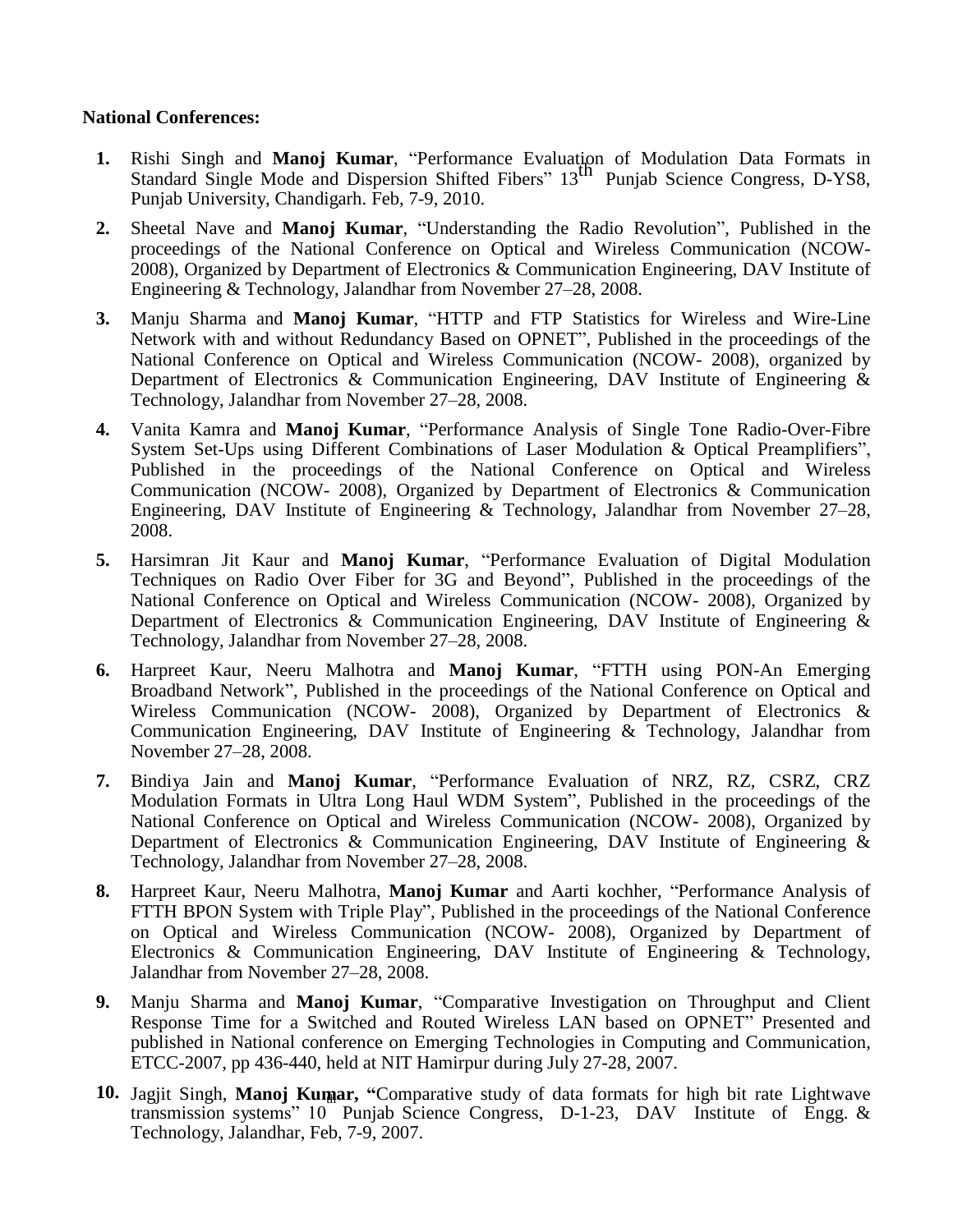## **National Conferences:**

- **1.** Rishi Singh and **Manoj Kumar**, "Performance Evaluation of Modulation Data Formats in Standard Single Mode and Dispersion Shifted Fibers" 13th Punjab Science Congress, D-YS8, Punjab University, Chandigarh. Feb, 7-9, 2010.
- **2.** Sheetal Nave and **Manoj Kumar**, "Understanding the Radio Revolution", Published in the proceedings of the National Conference on Optical and Wireless Communication (NCOW-2008), Organized by Department of Electronics & Communication Engineering, DAV Institute of Engineering & Technology, Jalandhar from November 27–28, 2008.
- **3.** Manju Sharma and **Manoj Kumar**, "HTTP and FTP Statistics for Wireless and Wire-Line Network with and without Redundancy Based on OPNET", Published in the proceedings of the National Conference on Optical and Wireless Communication (NCOW- 2008), organized by Department of Electronics & Communication Engineering, DAV Institute of Engineering & Technology, Jalandhar from November 27–28, 2008.
- **4.** Vanita Kamra and **Manoj Kumar**, "Performance Analysis of Single Tone Radio-Over-Fibre System Set-Ups using Different Combinations of Laser Modulation & Optical Preamplifiers", Published in the proceedings of the National Conference on Optical and Wireless Communication (NCOW- 2008), Organized by Department of Electronics & Communication Engineering, DAV Institute of Engineering & Technology, Jalandhar from November 27–28, 2008.
- **5.** Harsimran Jit Kaur and **Manoj Kumar**, "Performance Evaluation of Digital Modulation Techniques on Radio Over Fiber for 3G and Beyond", Published in the proceedings of the National Conference on Optical and Wireless Communication (NCOW- 2008), Organized by Department of Electronics & Communication Engineering, DAV Institute of Engineering & Technology, Jalandhar from November 27–28, 2008.
- **6.** Harpreet Kaur, Neeru Malhotra and **Manoj Kumar**, "FTTH using PON-An Emerging Broadband Network", Published in the proceedings of the National Conference on Optical and Wireless Communication (NCOW- 2008), Organized by Department of Electronics & Communication Engineering, DAV Institute of Engineering & Technology, Jalandhar from November 27–28, 2008.
- **7.** Bindiya Jain and **Manoj Kumar**, "Performance Evaluation of NRZ, RZ, CSRZ, CRZ Modulation Formats in Ultra Long Haul WDM System", Published in the proceedings of the National Conference on Optical and Wireless Communication (NCOW- 2008), Organized by Department of Electronics & Communication Engineering, DAV Institute of Engineering & Technology, Jalandhar from November 27–28, 2008.
- **8.** Harpreet Kaur, Neeru Malhotra, **Manoj Kumar** and Aarti kochher, "Performance Analysis of FTTH BPON System with Triple Play", Published in the proceedings of the National Conference on Optical and Wireless Communication (NCOW- 2008), Organized by Department of Electronics & Communication Engineering, DAV Institute of Engineering & Technology, Jalandhar from November 27–28, 2008.
- **9.** Manju Sharma and **Manoj Kumar**, "Comparative Investigation on Throughput and Client Response Time for a Switched and Routed Wireless LAN based on OPNET" Presented and published in National conference on Emerging Technologies in Computing and Communication, ETCC-2007, pp 436-440, held at NIT Hamirpur during July 27-28, 2007.
- 10. Jagjit Singh, Manoj Kumar, "Comparative study of data formats for high bit rate Lightwave transmission systems" 10 Punjab Science Congress, D-1-23, DAV Institute of Engg. & Technology, Jalandhar, Feb, 7-9, 2007.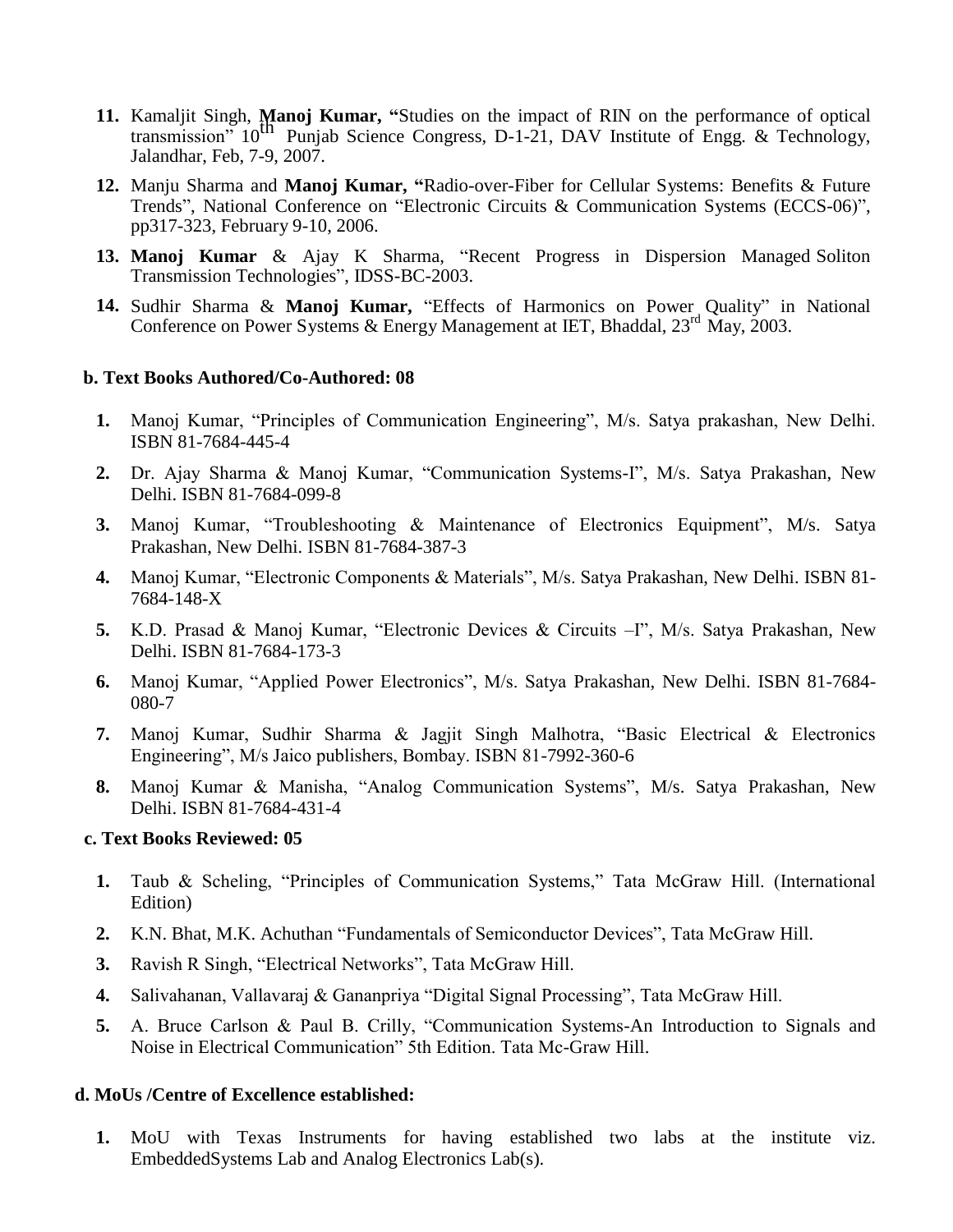- **11.** Kamaljit Singh, **Manoj Kumar, "**Studies on the impact of RIN on the performance of optical transmission"  $10^{th}$  Punjab Science Congress, D-1-21, DAV Institute of Engg. & Technology, Jalandhar, Feb, 7-9, 2007.
- **12.** Manju Sharma and **Manoj Kumar, "**Radio-over-Fiber for Cellular Systems: Benefits & Future Trends", National Conference on "Electronic Circuits & Communication Systems (ECCS-06)", pp317-323, February 9-10, 2006.
- **13. Manoj Kumar** & Ajay K Sharma, "Recent Progress in Dispersion Managed Soliton Transmission Technologies", IDSS-BC-2003.
- **14.** Sudhir Sharma & **Manoj Kumar,** "Effects of Harmonics on Power Quality" in National Conference on Power Systems & Energy Management at IET, Bhaddal,  $23^{\text{rd}}$  May, 2003.

#### **b. Text Books Authored/Co-Authored: 08**

- **1.** Manoj Kumar, "Principles of Communication Engineering", M/s. Satya prakashan, New Delhi. ISBN 81-7684-445-4
- **2.** Dr. Ajay Sharma & Manoj Kumar, "Communication Systems-I", M/s. Satya Prakashan, New Delhi. ISBN 81-7684-099-8
- **3.** Manoj Kumar, "Troubleshooting & Maintenance of Electronics Equipment", M/s. Satya Prakashan, New Delhi. ISBN 81-7684-387-3
- **4.** Manoj Kumar, "Electronic Components & Materials", M/s. Satya Prakashan, New Delhi. ISBN 81- 7684-148-X
- **5.** K.D. Prasad & Manoj Kumar, "Electronic Devices & Circuits –I", M/s. Satya Prakashan, New Delhi. ISBN 81-7684-173-3
- **6.** Manoj Kumar, "Applied Power Electronics", M/s. Satya Prakashan, New Delhi. ISBN 81-7684- 080-7
- **7.** Manoj Kumar, Sudhir Sharma & Jagjit Singh Malhotra, "Basic Electrical & Electronics Engineering", M/s Jaico publishers, Bombay. ISBN 81-7992-360-6
- **8.** Manoj Kumar & Manisha, "Analog Communication Systems", M/s. Satya Prakashan, New Delhi. ISBN 81-7684-431-4

#### **c. Text Books Reviewed: 05**

- **1.** Taub & Scheling, "Principles of Communication Systems," Tata McGraw Hill. (International Edition)
- **2.** K.N. Bhat, M.K. Achuthan "Fundamentals of Semiconductor Devices", Tata McGraw Hill.
- **3.** Ravish R Singh, "Electrical Networks", Tata McGraw Hill.
- **4.** Salivahanan, Vallavaraj & Gananpriya "Digital Signal Processing", Tata McGraw Hill.
- **5.** A. Bruce Carlson & Paul B. Crilly, "Communication Systems-An Introduction to Signals and Noise in Electrical Communication" 5th Edition. Tata Mc-Graw Hill.

## **d. MoUs /Centre of Excellence established:**

**1.** MoU with Texas Instruments for having established two labs at the institute viz. EmbeddedSystems Lab and Analog Electronics Lab(s).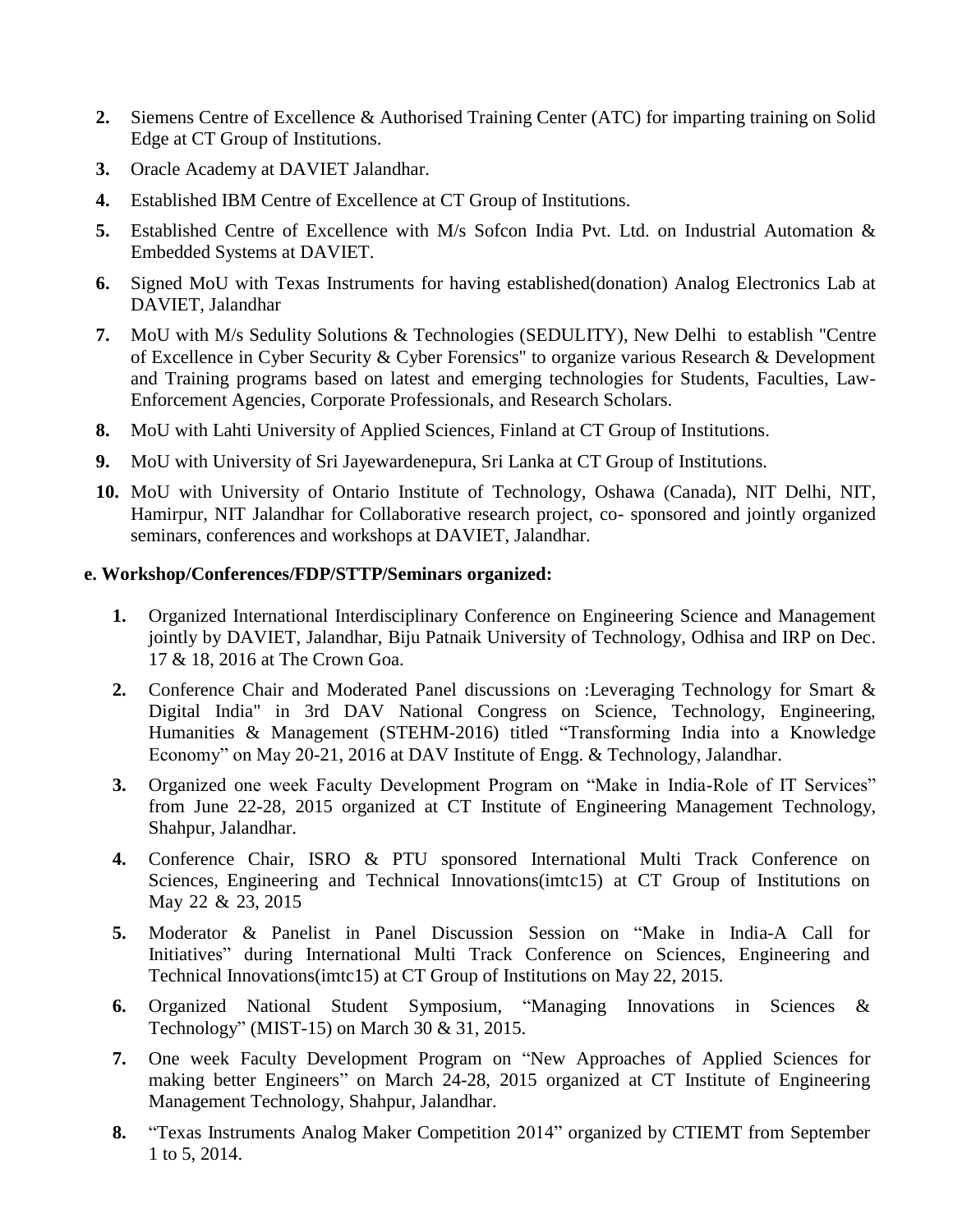- **2.** Siemens Centre of Excellence & Authorised Training Center (ATC) for imparting training on Solid Edge at CT Group of Institutions.
- **3.** Oracle Academy at DAVIET Jalandhar.
- **4.** Established IBM Centre of Excellence at CT Group of Institutions.
- **5.** Established Centre of Excellence with M/s Sofcon India Pvt. Ltd. on Industrial Automation & Embedded Systems at DAVIET.
- **6.** Signed MoU with Texas Instruments for having established(donation) Analog Electronics Lab at DAVIET, Jalandhar
- **7.** MoU with M/s Sedulity Solutions & Technologies (SEDULITY), New Delhi to establish "Centre of Excellence in Cyber Security & Cyber Forensics" to organize various Research & Development and Training programs based on latest and emerging technologies for Students, Faculties, Law-Enforcement Agencies, Corporate Professionals, and Research Scholars.
- **8.** MoU with Lahti University of Applied Sciences, Finland at CT Group of Institutions.
- **9.** MoU with University of Sri Jayewardenepura, Sri Lanka at CT Group of Institutions.
- **10.** MoU with University of Ontario Institute of Technology, Oshawa (Canada), NIT Delhi, NIT, Hamirpur, NIT Jalandhar for Collaborative research project, co- sponsored and jointly organized seminars, conferences and workshops at DAVIET, Jalandhar.

## **e. Workshop/Conferences/FDP/STTP/Seminars organized:**

- **1.** Organized International Interdisciplinary Conference on Engineering Science and Management jointly by DAVIET, Jalandhar, Biju Patnaik University of Technology, Odhisa and IRP on Dec. 17 & 18, 2016 at The Crown Goa.
- **2.** Conference Chair and Moderated Panel discussions on :Leveraging Technology for Smart & Digital India" in [3rd DAV National Congress on Science, Technology, Engineering,](http://www.ctgroup.in/mainFile.php?max=MTIzNA==/653556511&tab=Y29tbW9ucGFuZWw=)  [Humanities & Management \(STEHM-2016\)](http://www.ctgroup.in/mainFile.php?max=MTIzNA==/653556511&tab=Y29tbW9ucGFuZWw=) titled "Transforming India into a Knowledge [Economy" on May 20-21, 2016 at DAV Institute of Engg. & Technology, Jalandhar.](http://www.ctgroup.in/mainFile.php?max=MTIzNA==/653556511&tab=Y29tbW9ucGFuZWw=)
- **3.** Organized [one week Faculty Development Program on "Make in India-Role of IT Services"](http://www.ctgroup.in/mainFile.php?max=MTIzNA==/653556511&tab=Y29tbW9ucGFuZWw=)  [from June 22-2](http://www.ctgroup.in/mainFile.php?max=MTIzNA==/653556511&tab=Y29tbW9ucGFuZWw=)8, 2015 organized at CT Institute of [Engineering Management Technology,](http://www.ctgroup.in/mainFile.php?max=MTIzNA==/653556511&tab=Y29tbW9ucGFuZWw=) [Shahpur, Jalandhar.](http://www.ctgroup.in/mainFile.php?max=MTIzNA==/653556511&tab=Y29tbW9ucGFuZWw=)
- **4.** Conference Chair, ISRO & PTU sponsored International Multi Track Conference on Sciences, Engineering and Technical Innovations(imtc15) at CT Group of Institutions on May 22 & 23, 2015
- **5.** Moderator & Panelist in Panel Discussion Session on "Make in India-A Call for Initiatives" during International Multi Track Conference on Sciences, Engineering and Technical Innovations(imtc15) at CT Group of Institutions on May 22, 2015.
- **6.** Organized National Student Symposium, "Managing Innovations in Sciences & Technology" (MIST-15) on March 30 & 31, 2015.
- **7.** One week Faculty [Development](http://www.ctgroup.in/mainFile.php?max=MTIzNA==/653556511&tab=Y29tbW9ucGFuZWw=) Program on "New Approaches of Applied Sciences for [making](http://www.ctgroup.in/mainFile.php?max=MTIzNA==/653556511&tab=Y29tbW9ucGFuZWw=) better Engineers" on March 24-28, 2015 organized at CT Institute of Engineering Management [Technology, Shahpur, Jalandhar.](http://www.ctgroup.in/mainFile.php?max=MTIzNA==/653556511&tab=Y29tbW9ucGFuZWw=)
- **8.** "Texas Instruments Analog Maker Competition 2014" organized by CTIEMT from September 1 to 5, 2014.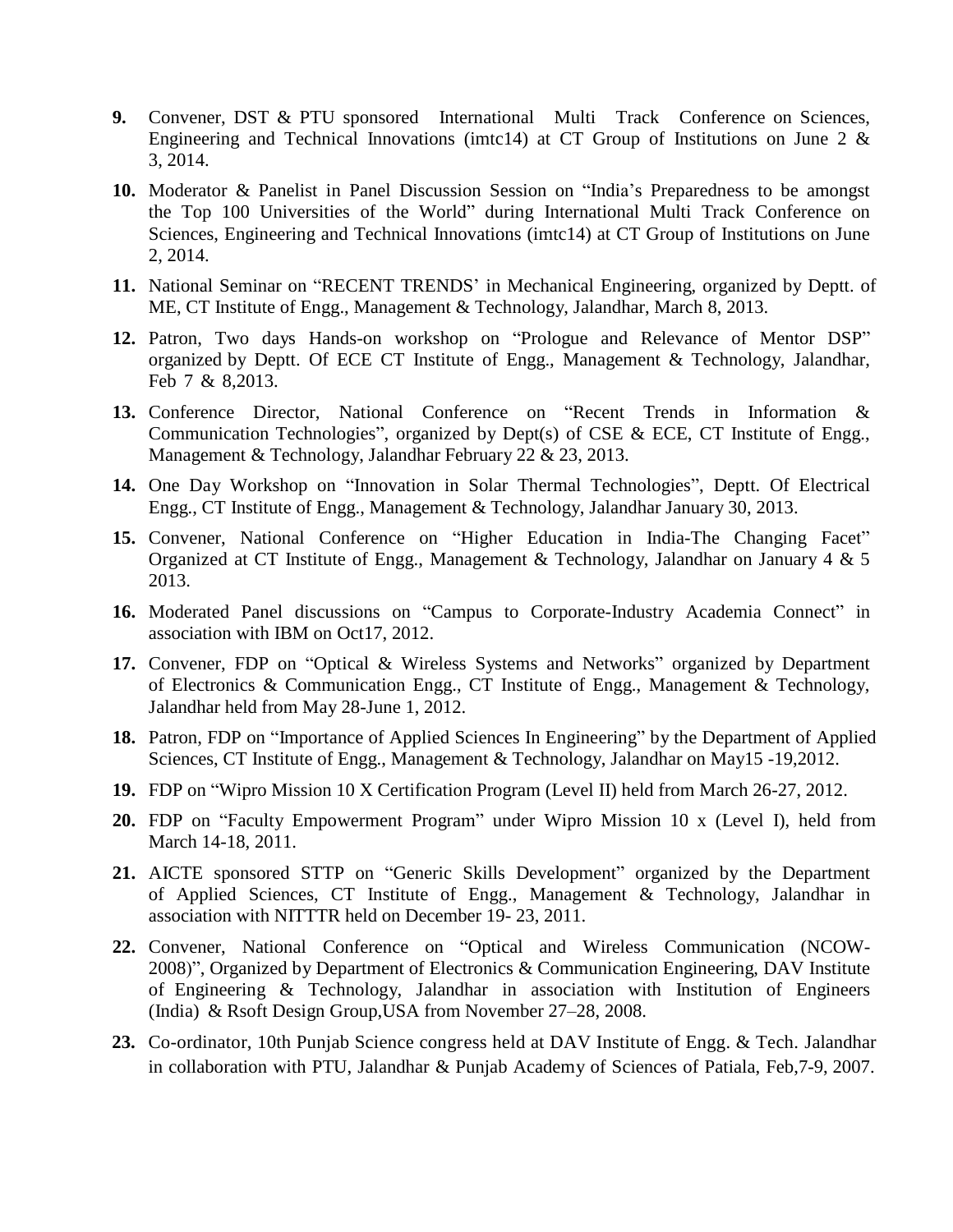- **9.** Convener, DST & PTU sponsored International Multi Track Conference on Sciences, Engineering and Technical Innovations (imtc14) at CT Group of Institutions on June 2  $\&$ 3, 2014.
- **10.** Moderator & Panelist in Panel Discussion Session on "India's Preparedness to be amongst the Top 100 Universities of the World" during International Multi Track Conference on Sciences, Engineering and Technical Innovations (imtc14) at CT Group of Institutions on June 2, 2014.
- **11.** National Seminar on "RECENT TRENDS' in Mechanical Engineering, organized by Deptt. of ME, CT Institute of Engg., Management & Technology, Jalandhar, March 8, 2013.
- **12.** Patron, Two days Hands-on workshop on "Prologue and Relevance of Mentor DSP" organized by Deptt. Of ECE CT Institute of Engg., Management & Technology, Jalandhar, Feb 7 & 8,2013.
- **13.** Conference Director, National Conference on "Recent Trends in Information & Communication Technologies", organized by Dept(s) of CSE & ECE, CT Institute of Engg., Management & Technology, Jalandhar February 22 & 23, 2013.
- **14.** One Day Workshop on "Innovation in Solar Thermal Technologies", Deptt. Of Electrical Engg., CT Institute of Engg., Management & Technology, Jalandhar January 30, 2013.
- **15.** Convener, National Conference on "Higher Education in India-The Changing Facet" Organized at CT Institute of Engg., Management & Technology, Jalandhar on January 4  $\&$  5 2013.
- **16.** Moderated Panel discussions on "Campus to Corporate-Industry Academia Connect" in association with IBM on Oct17, 2012.
- **17.** Convener, FDP on "Optical & Wireless Systems and Networks" organized by Department of Electronics & Communication Engg., CT Institute of Engg., Management & Technology, Jalandhar held from May 28-June 1, 2012.
- **18.** Patron, FDP on "Importance of Applied Sciences In Engineering" by the Department of Applied Sciences, CT Institute of Engg., Management & Technology, Jalandhar on May15 -19,2012.
- **19.** FDP on "Wipro Mission 10 X Certification Program (Level II) held from March 26-27, 2012.
- **20.** FDP on "Faculty Empowerment Program" under Wipro Mission 10 x (Level I), held from March 14-18, 2011.
- **21.** AICTE sponsored STTP on "Generic Skills Development" organized by the Department of Applied Sciences, CT Institute of Engg., Management & Technology, Jalandhar in association with NITTTR held on December 19- 23, 2011.
- **22.** Convener, National Conference on "Optical and Wireless Communication (NCOW-2008)", Organized by Department of Electronics & Communication Engineering, DAV Institute of Engineering & Technology, Jalandhar in association with Institution of Engineers (India) & Rsoft Design Group,USA from November 27–28, 2008.
- **23.** Co-ordinator, 10th Punjab Science congress held at DAV Institute of Engg. & Tech. Jalandhar in collaboration with PTU, Jalandhar & Punjab Academy of Sciences of Patiala, Feb,7-9, 2007.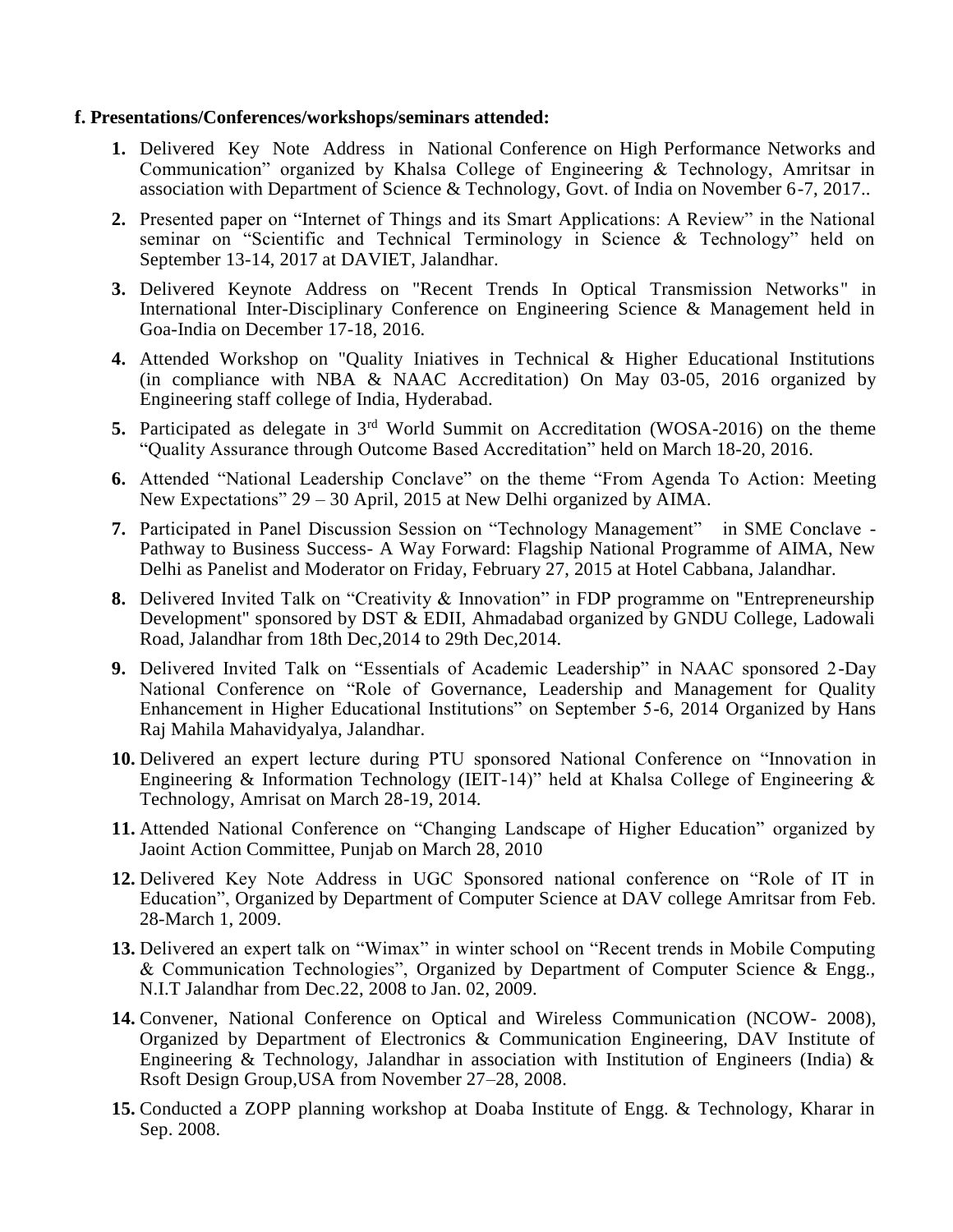#### **f. Presentations/Conferences/workshops/seminars attended:**

- **1.** Delivered Key Note Address in National Conference on High Performance Networks and Communication" organized by Khalsa College of Engineering & Technology, Amritsar in association with Department of Science & Technology, Govt. of India on November 6-7, 2017..
- **2.** Presented paper on "Internet of Things and its Smart Applications: A Review" in the National seminar on "Scientific and Technical Terminology in Science & Technology" held on September 13-14, 2017 at DAVIET, Jalandhar.
- **3.** Delivered Keynote Address on "Recent Trends In Optical Transmission Networks" in International Inter-Disciplinary Conference on Engineering Science & Management held in Goa-India on December 17-18, 2016.
- **4.** Attended Workshop on "Quality Iniatives in Technical & Higher Educational Institutions (in compliance with NBA & NAAC Accreditation) On May 03-05, 2016 organized by Engineering staff college of India, Hyderabad.
- **5.** Participated as delegate in 3rd World Summit on Accreditation (WOSA-2016) on the theme "Quality Assurance through Outcome Based Accreditation" held on March 18-20, 2016.
- **6.** Attended "National Leadership Conclave" on the theme "From Agenda To Action: Meeting New Expectations" 29 – 30 April, 2015 at New Delhi organized by AIMA.
- **7.** Participated in Panel Discussion Session on "Technology Management" in SME Conclave Pathway to Business Success- A Way Forward: Flagship National Programme of AIMA, New Delhi as Panelist and Moderator on Friday, February 27, 2015 at Hotel Cabbana, Jalandhar.
- **8.** Delivered Invited Talk on "Creativity & Innovation" in FDP programme on "Entrepreneurship Development" sponsored by DST & EDII, Ahmadabad organized by GNDU College, Ladowali Road, Jalandhar from 18th Dec,2014 to 29th Dec,2014.
- **9.** Delivered Invited Talk on "Essentials of Academic Leadership" in NAAC sponsored 2-Day National Conference on "Role of Governance, Leadership and Management for Quality Enhancement in Higher Educational Institutions" on September 5-6, 2014 Organized by Hans Raj Mahila Mahavidyalya, Jalandhar.
- **10.** Delivered an expert lecture during PTU sponsored National Conference on "Innovation in Engineering & Information Technology (IEIT-14)" held at Khalsa College of Engineering  $\&$ Technology, Amrisat on March 28-19, 2014.
- **11.** Attended National Conference on "Changing Landscape of Higher Education" organized by Jaoint Action Committee, Punjab on March 28, 2010
- **12.** Delivered Key Note Address in UGC Sponsored national conference on "Role of IT in Education", Organized by Department of Computer Science at DAV college Amritsar from Feb. 28-March 1, 2009.
- **13.** Delivered an expert talk on "Wimax" in winter school on "Recent trends in Mobile Computing & Communication Technologies", Organized by Department of Computer Science & Engg., N.I.T Jalandhar from Dec.22, 2008 to Jan. 02, 2009.
- **14.** Convener, National Conference on Optical and Wireless Communication (NCOW- 2008), Organized by Department of Electronics & Communication Engineering, DAV Institute of Engineering & Technology, Jalandhar in association with Institution of Engineers (India)  $\&$ Rsoft Design Group,USA from November 27–28, 2008.
- **15.** Conducted a ZOPP planning workshop at Doaba Institute of Engg. & Technology, Kharar in Sep. 2008.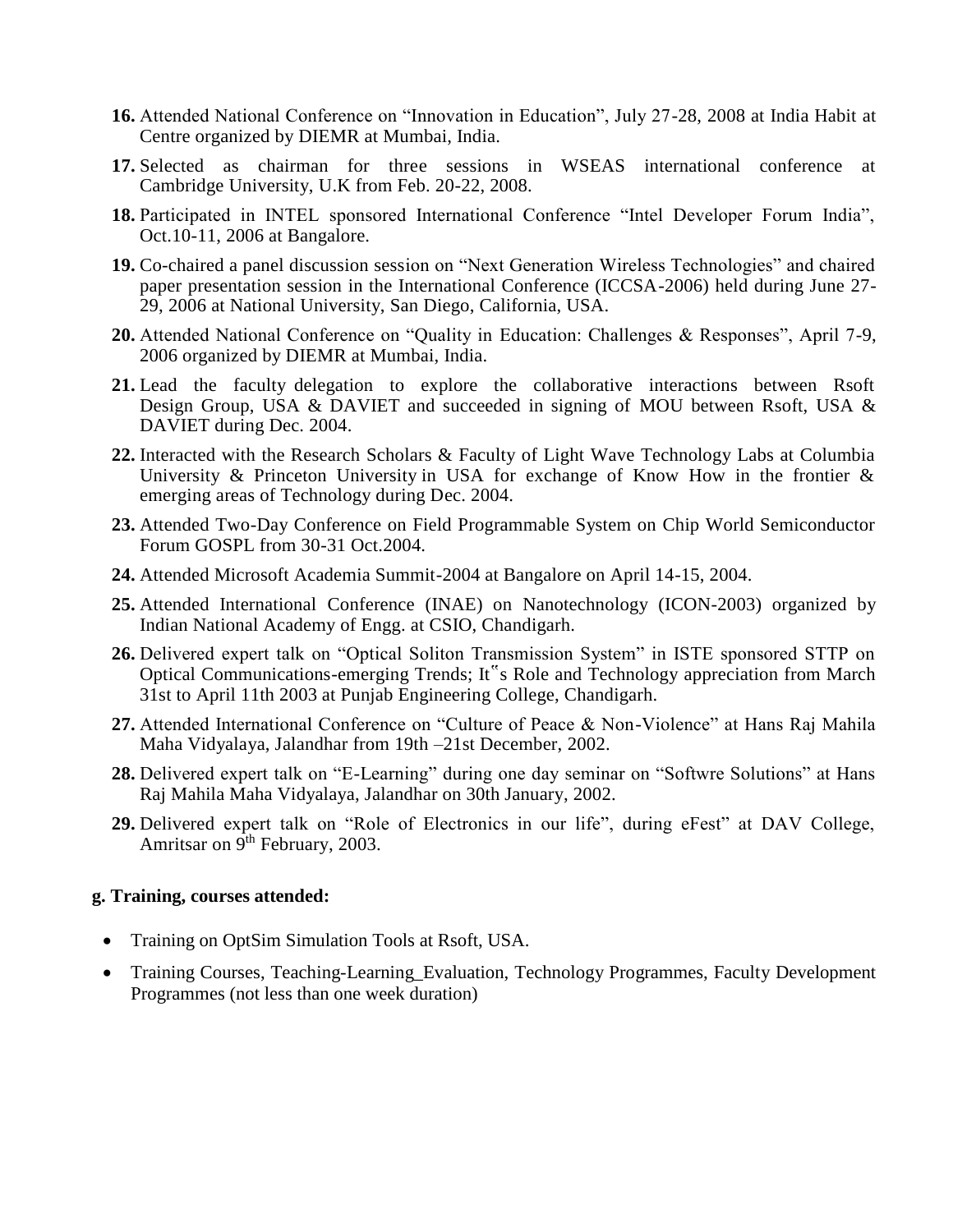- **16.** Attended National Conference on "Innovation in Education", July 27-28, 2008 at India Habit at Centre organized by DIEMR at Mumbai, India.
- **17.** Selected as chairman for three sessions in WSEAS international conference at Cambridge University, U.K from Feb. 20-22, 2008.
- **18.** Participated in INTEL sponsored International Conference "Intel Developer Forum India", Oct.10-11, 2006 at Bangalore.
- **19.** Co-chaired a panel discussion session on "Next Generation Wireless Technologies" and chaired paper presentation session in the International Conference (ICCSA-2006) held during June 27- 29, 2006 at National University, San Diego, California, USA.
- **20.** Attended National Conference on "Quality in Education: Challenges & Responses", April 7-9, 2006 organized by DIEMR at Mumbai, India.
- **21.** Lead the faculty delegation to explore the collaborative interactions between Rsoft Design Group, USA & DAVIET and succeeded in signing of MOU between Rsoft, USA & DAVIET during Dec. 2004.
- **22.** Interacted with the Research Scholars & Faculty of Light Wave Technology Labs at Columbia University  $\&$  Princeton University in USA for exchange of Know How in the frontier  $\&$ emerging areas of Technology during Dec. 2004.
- **23.** Attended Two-Day Conference on Field Programmable System on Chip World Semiconductor Forum GOSPL from 30-31 Oct.2004.
- **24.** Attended Microsoft Academia Summit-2004 at Bangalore on April 14-15, 2004.
- **25.** Attended International Conference (INAE) on Nanotechnology (ICON-2003) organized by Indian National Academy of Engg. at CSIO, Chandigarh.
- **26.** Delivered expert talk on "Optical Soliton Transmission System" in ISTE sponsored STTP on Optical Communications-emerging Trends; It"s Role and Technology appreciation from March 31st to April 11th 2003 at Punjab Engineering College, Chandigarh.
- **27.** Attended International Conference on "Culture of Peace & Non-Violence" at Hans Raj Mahila Maha Vidyalaya, Jalandhar from 19th –21st December, 2002.
- **28.** Delivered expert talk on "E-Learning" during one day seminar on "Softwre Solutions" at Hans Raj Mahila Maha Vidyalaya, Jalandhar on 30th January, 2002.
- **29.** Delivered expert talk on "Role of Electronics in our life", during eFest" at DAV College, Amritsar on 9<sup>th</sup> February, 2003.

#### **g. Training, courses attended:**

- Training on OptSim Simulation Tools at Rsoft, USA.
- Training Courses, Teaching-Learning\_Evaluation, Technology Programmes, Faculty Development Programmes (not less than one week duration)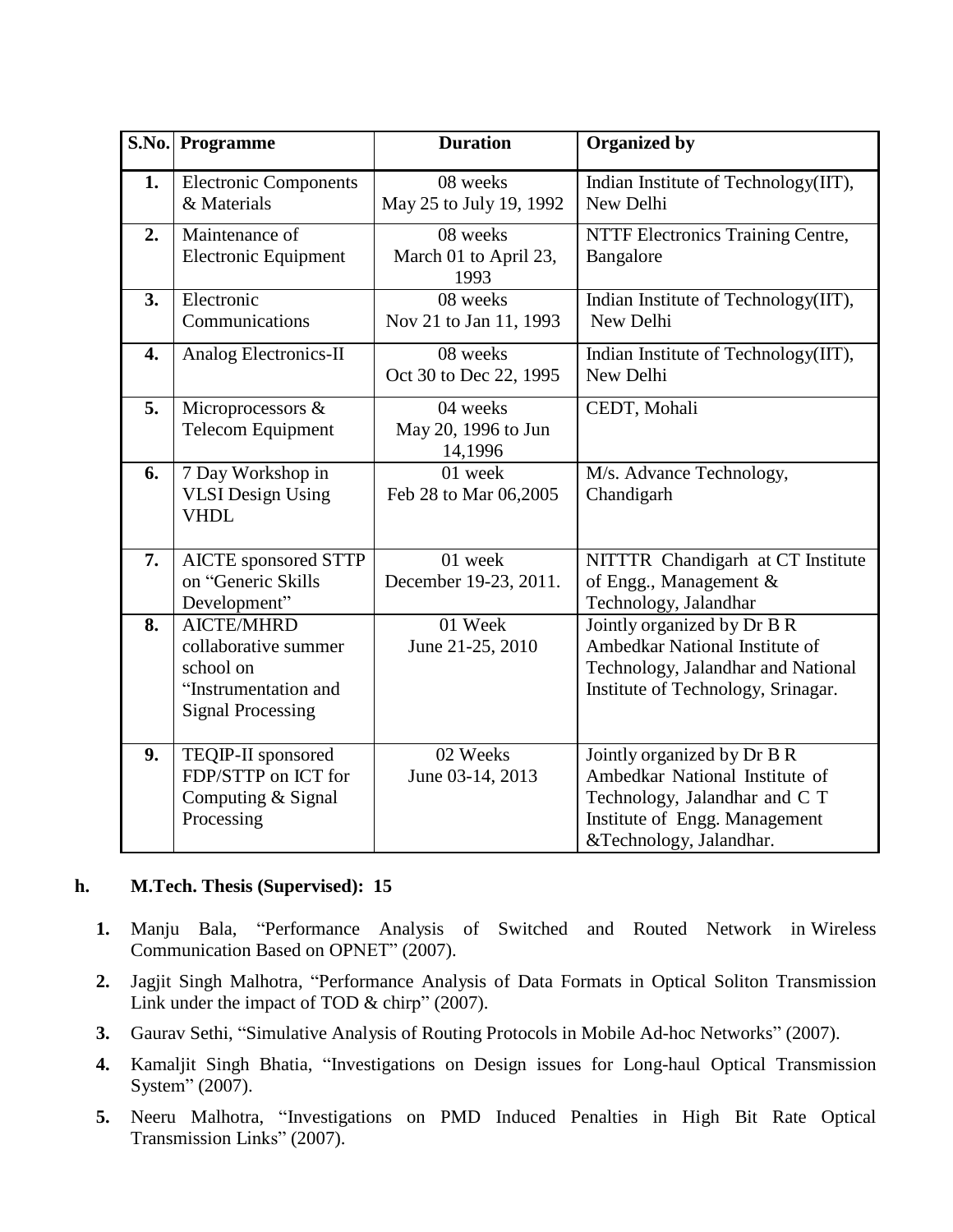|    | S.No. Programme                                                                                            | <b>Duration</b>                            | <b>Organized by</b>                                                                                                                                        |
|----|------------------------------------------------------------------------------------------------------------|--------------------------------------------|------------------------------------------------------------------------------------------------------------------------------------------------------------|
| 1. | <b>Electronic Components</b><br>& Materials                                                                | 08 weeks<br>May 25 to July 19, 1992        | Indian Institute of Technology(IIT),<br>New Delhi                                                                                                          |
| 2. | Maintenance of<br><b>Electronic Equipment</b>                                                              | 08 weeks<br>March 01 to April 23,<br>1993  | NTTF Electronics Training Centre,<br>Bangalore                                                                                                             |
| 3. | Electronic<br>Communications                                                                               | 08 weeks<br>Nov 21 to Jan 11, 1993         | Indian Institute of Technology(IIT),<br>New Delhi                                                                                                          |
| 4. | Analog Electronics-II                                                                                      | 08 weeks<br>Oct 30 to Dec 22, 1995         | Indian Institute of Technology(IIT),<br>New Delhi                                                                                                          |
| 5. | Microprocessors &<br><b>Telecom Equipment</b>                                                              | 04 weeks<br>May 20, 1996 to Jun<br>14,1996 | CEDT, Mohali                                                                                                                                               |
| 6. | 7 Day Workshop in<br><b>VLSI</b> Design Using<br><b>VHDL</b>                                               | 01 week<br>Feb 28 to Mar 06,2005           | M/s. Advance Technology,<br>Chandigarh                                                                                                                     |
| 7. | <b>AICTE</b> sponsored STTP<br>on "Generic Skills<br>Development"                                          | 01 week<br>December 19-23, 2011.           | NITTTR Chandigarh at CT Institute<br>of Engg., Management &<br>Technology, Jalandhar                                                                       |
| 8. | <b>AICTE/MHRD</b><br>collaborative summer<br>school on<br>"Instrumentation and<br><b>Signal Processing</b> | 01 Week<br>June 21-25, 2010                | Jointly organized by Dr B R<br>Ambedkar National Institute of<br>Technology, Jalandhar and National<br>Institute of Technology, Srinagar.                  |
| 9. | TEQIP-II sponsored<br>FDP/STTP on ICT for<br>Computing & Signal<br>Processing                              | 02 Weeks<br>June 03-14, 2013               | Jointly organized by Dr B R<br>Ambedkar National Institute of<br>Technology, Jalandhar and C T<br>Institute of Engg. Management<br>&Technology, Jalandhar. |

# **h. M.Tech. Thesis (Supervised): 15**

- **1.** Manju Bala, "Performance Analysis of Switched and Routed Network in Wireless Communication Based on OPNET" (2007).
- **2.** Jagjit Singh Malhotra, "Performance Analysis of Data Formats in Optical Soliton Transmission Link under the impact of TOD & chirp" (2007).
- **3.** Gaurav Sethi, "Simulative Analysis of Routing Protocols in Mobile Ad-hoc Networks" (2007).
- **4.** Kamaljit Singh Bhatia, "Investigations on Design issues for Long-haul Optical Transmission System" (2007).
- **5.** Neeru Malhotra, "Investigations on PMD Induced Penalties in High Bit Rate Optical Transmission Links" (2007).